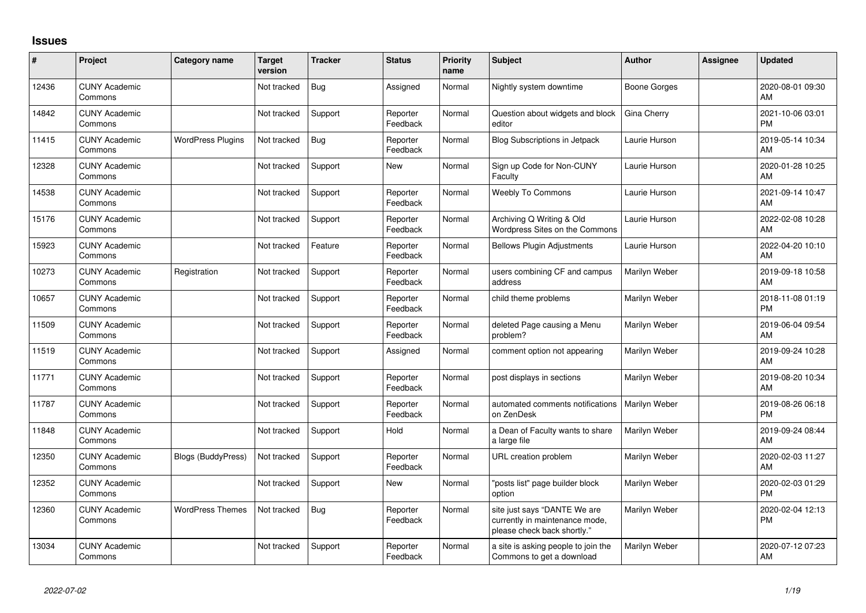## **Issues**

| ∦     | Project                         | Category name             | Target<br>version | <b>Tracker</b> | <b>Status</b>        | <b>Priority</b><br>name | Subject                                                                                       | <b>Author</b> | <b>Assignee</b> | <b>Updated</b>                |
|-------|---------------------------------|---------------------------|-------------------|----------------|----------------------|-------------------------|-----------------------------------------------------------------------------------------------|---------------|-----------------|-------------------------------|
| 12436 | <b>CUNY Academic</b><br>Commons |                           | Not tracked       | Bug            | Assigned             | Normal                  | Nightly system downtime                                                                       | Boone Gorges  |                 | 2020-08-01 09:30<br>AM        |
| 14842 | <b>CUNY Academic</b><br>Commons |                           | Not tracked       | Support        | Reporter<br>Feedback | Normal                  | Question about widgets and block<br>editor                                                    | Gina Cherry   |                 | 2021-10-06 03:01<br><b>PM</b> |
| 11415 | <b>CUNY Academic</b><br>Commons | <b>WordPress Plugins</b>  | Not tracked       | <b>Bug</b>     | Reporter<br>Feedback | Normal                  | <b>Blog Subscriptions in Jetpack</b>                                                          | Laurie Hurson |                 | 2019-05-14 10:34<br>AM        |
| 12328 | <b>CUNY Academic</b><br>Commons |                           | Not tracked       | Support        | <b>New</b>           | Normal                  | Sign up Code for Non-CUNY<br>Faculty                                                          | Laurie Hurson |                 | 2020-01-28 10:25<br>AM        |
| 14538 | <b>CUNY Academic</b><br>Commons |                           | Not tracked       | Support        | Reporter<br>Feedback | Normal                  | Weebly To Commons                                                                             | Laurie Hurson |                 | 2021-09-14 10:47<br>AM        |
| 15176 | <b>CUNY Academic</b><br>Commons |                           | Not tracked       | Support        | Reporter<br>Feedback | Normal                  | Archiving Q Writing & Old<br>Wordpress Sites on the Commons                                   | Laurie Hurson |                 | 2022-02-08 10:28<br>AM        |
| 15923 | <b>CUNY Academic</b><br>Commons |                           | Not tracked       | Feature        | Reporter<br>Feedback | Normal                  | <b>Bellows Plugin Adjustments</b>                                                             | Laurie Hurson |                 | 2022-04-20 10:10<br>AM        |
| 10273 | <b>CUNY Academic</b><br>Commons | Registration              | Not tracked       | Support        | Reporter<br>Feedback | Normal                  | users combining CF and campus<br>address                                                      | Marilyn Weber |                 | 2019-09-18 10:58<br>AM        |
| 10657 | <b>CUNY Academic</b><br>Commons |                           | Not tracked       | Support        | Reporter<br>Feedback | Normal                  | child theme problems                                                                          | Marilyn Weber |                 | 2018-11-08 01:19<br><b>PM</b> |
| 11509 | <b>CUNY Academic</b><br>Commons |                           | Not tracked       | Support        | Reporter<br>Feedback | Normal                  | deleted Page causing a Menu<br>problem?                                                       | Marilyn Weber |                 | 2019-06-04 09:54<br>AM        |
| 11519 | <b>CUNY Academic</b><br>Commons |                           | Not tracked       | Support        | Assigned             | Normal                  | comment option not appearing                                                                  | Marilyn Weber |                 | 2019-09-24 10:28<br>AM        |
| 11771 | <b>CUNY Academic</b><br>Commons |                           | Not tracked       | Support        | Reporter<br>Feedback | Normal                  | post displays in sections                                                                     | Marilyn Weber |                 | 2019-08-20 10:34<br>AM        |
| 11787 | <b>CUNY Academic</b><br>Commons |                           | Not tracked       | Support        | Reporter<br>Feedback | Normal                  | automated comments notifications<br>on ZenDesk                                                | Marilyn Weber |                 | 2019-08-26 06:18<br><b>PM</b> |
| 11848 | <b>CUNY Academic</b><br>Commons |                           | Not tracked       | Support        | Hold                 | Normal                  | a Dean of Faculty wants to share<br>a large file                                              | Marilyn Weber |                 | 2019-09-24 08:44<br>AM        |
| 12350 | <b>CUNY Academic</b><br>Commons | <b>Blogs (BuddyPress)</b> | Not tracked       | Support        | Reporter<br>Feedback | Normal                  | URL creation problem                                                                          | Marilyn Weber |                 | 2020-02-03 11:27<br>AM        |
| 12352 | <b>CUNY Academic</b><br>Commons |                           | Not tracked       | Support        | New                  | Normal                  | 'posts list" page builder block<br>option                                                     | Marilyn Weber |                 | 2020-02-03 01:29<br><b>PM</b> |
| 12360 | <b>CUNY Academic</b><br>Commons | <b>WordPress Themes</b>   | Not tracked       | Bug            | Reporter<br>Feedback | Normal                  | site just says "DANTE We are<br>currently in maintenance mode,<br>please check back shortly." | Marilyn Weber |                 | 2020-02-04 12:13<br><b>PM</b> |
| 13034 | <b>CUNY Academic</b><br>Commons |                           | Not tracked       | Support        | Reporter<br>Feedback | Normal                  | a site is asking people to join the<br>Commons to get a download                              | Marilyn Weber |                 | 2020-07-12 07:23<br>AM        |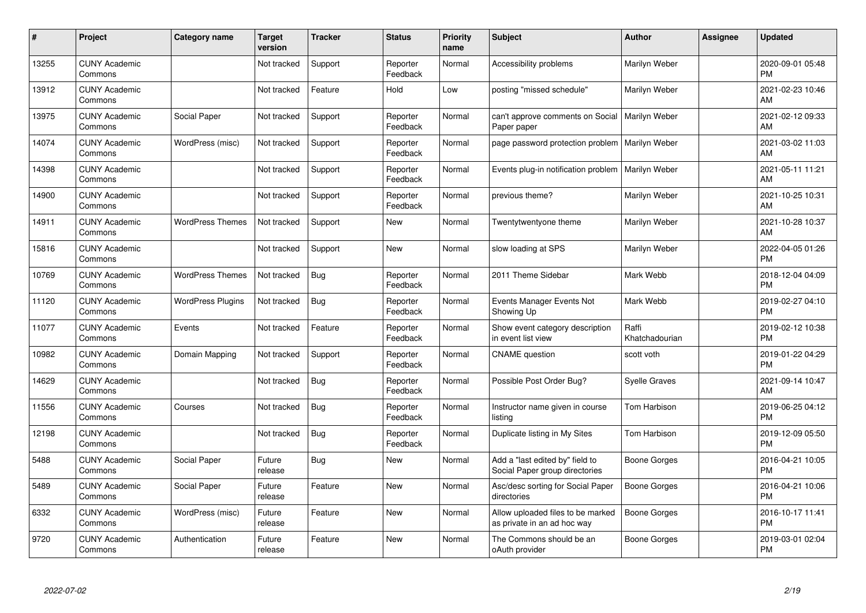| #     | Project                         | <b>Category name</b>     | <b>Target</b><br>version | <b>Tracker</b> | <b>Status</b>        | <b>Priority</b><br>name | <b>Subject</b>                                                    | <b>Author</b>           | Assignee | <b>Updated</b>                |
|-------|---------------------------------|--------------------------|--------------------------|----------------|----------------------|-------------------------|-------------------------------------------------------------------|-------------------------|----------|-------------------------------|
| 13255 | <b>CUNY Academic</b><br>Commons |                          | Not tracked              | Support        | Reporter<br>Feedback | Normal                  | Accessibility problems                                            | Marilyn Weber           |          | 2020-09-01 05:48<br><b>PM</b> |
| 13912 | <b>CUNY Academic</b><br>Commons |                          | Not tracked              | Feature        | Hold                 | Low                     | posting "missed schedule"                                         | Marilyn Weber           |          | 2021-02-23 10:46<br>AM        |
| 13975 | <b>CUNY Academic</b><br>Commons | Social Paper             | Not tracked              | Support        | Reporter<br>Feedback | Normal                  | can't approve comments on Social<br>Paper paper                   | <b>Marilyn Weber</b>    |          | 2021-02-12 09:33<br>AM        |
| 14074 | <b>CUNY Academic</b><br>Commons | WordPress (misc)         | Not tracked              | Support        | Reporter<br>Feedback | Normal                  | page password protection problem                                  | Marilyn Weber           |          | 2021-03-02 11:03<br>AM        |
| 14398 | <b>CUNY Academic</b><br>Commons |                          | Not tracked              | Support        | Reporter<br>Feedback | Normal                  | Events plug-in notification problem                               | Marilyn Weber           |          | 2021-05-11 11:21<br>AM        |
| 14900 | <b>CUNY Academic</b><br>Commons |                          | Not tracked              | Support        | Reporter<br>Feedback | Normal                  | previous theme?                                                   | Marilyn Weber           |          | 2021-10-25 10:31<br>AM        |
| 14911 | <b>CUNY Academic</b><br>Commons | <b>WordPress Themes</b>  | Not tracked              | Support        | New                  | Normal                  | Twentytwentyone theme                                             | Marilyn Weber           |          | 2021-10-28 10:37<br>AM        |
| 15816 | <b>CUNY Academic</b><br>Commons |                          | Not tracked              | Support        | <b>New</b>           | Normal                  | slow loading at SPS                                               | Marilyn Weber           |          | 2022-04-05 01:26<br><b>PM</b> |
| 10769 | <b>CUNY Academic</b><br>Commons | <b>WordPress Themes</b>  | Not tracked              | Bug            | Reporter<br>Feedback | Normal                  | 2011 Theme Sidebar                                                | Mark Webb               |          | 2018-12-04 04:09<br><b>PM</b> |
| 11120 | <b>CUNY Academic</b><br>Commons | <b>WordPress Plugins</b> | Not tracked              | Bug            | Reporter<br>Feedback | Normal                  | Events Manager Events Not<br>Showing Up                           | Mark Webb               |          | 2019-02-27 04:10<br><b>PM</b> |
| 11077 | <b>CUNY Academic</b><br>Commons | Events                   | Not tracked              | Feature        | Reporter<br>Feedback | Normal                  | Show event category description<br>in event list view             | Raffi<br>Khatchadourian |          | 2019-02-12 10:38<br><b>PM</b> |
| 10982 | <b>CUNY Academic</b><br>Commons | Domain Mapping           | Not tracked              | Support        | Reporter<br>Feedback | Normal                  | <b>CNAME</b> question                                             | scott voth              |          | 2019-01-22 04:29<br><b>PM</b> |
| 14629 | <b>CUNY Academic</b><br>Commons |                          | Not tracked              | Bug            | Reporter<br>Feedback | Normal                  | Possible Post Order Bug?                                          | <b>Syelle Graves</b>    |          | 2021-09-14 10:47<br>AM        |
| 11556 | <b>CUNY Academic</b><br>Commons | Courses                  | Not tracked              | Bug            | Reporter<br>Feedback | Normal                  | Instructor name given in course<br>listing                        | Tom Harbison            |          | 2019-06-25 04:12<br><b>PM</b> |
| 12198 | <b>CUNY Academic</b><br>Commons |                          | Not tracked              | Bug            | Reporter<br>Feedback | Normal                  | Duplicate listing in My Sites                                     | Tom Harbison            |          | 2019-12-09 05:50<br><b>PM</b> |
| 5488  | <b>CUNY Academic</b><br>Commons | Social Paper             | Future<br>release        | Bug            | New                  | Normal                  | Add a "last edited by" field to<br>Social Paper group directories | Boone Gorges            |          | 2016-04-21 10:05<br><b>PM</b> |
| 5489  | <b>CUNY Academic</b><br>Commons | Social Paper             | Future<br>release        | Feature        | <b>New</b>           | Normal                  | Asc/desc sorting for Social Paper<br>directories                  | Boone Gorges            |          | 2016-04-21 10:06<br><b>PM</b> |
| 6332  | <b>CUNY Academic</b><br>Commons | WordPress (misc)         | Future<br>release        | Feature        | New                  | Normal                  | Allow uploaded files to be marked<br>as private in an ad hoc way  | Boone Gorges            |          | 2016-10-17 11:41<br><b>PM</b> |
| 9720  | <b>CUNY Academic</b><br>Commons | Authentication           | Future<br>release        | Feature        | <b>New</b>           | Normal                  | The Commons should be an<br>oAuth provider                        | Boone Gorges            |          | 2019-03-01 02:04<br>PM        |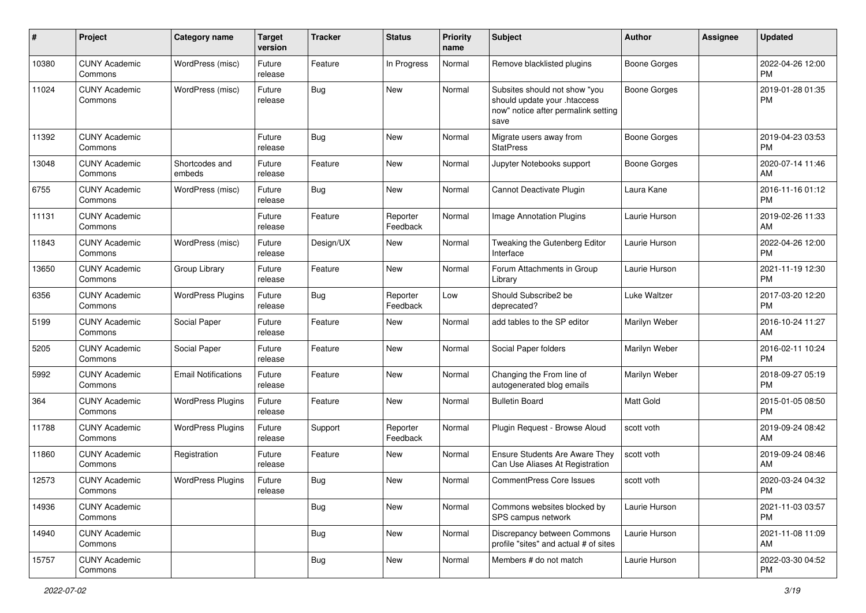| #     | Project                         | <b>Category name</b>       | <b>Target</b><br>version | <b>Tracker</b> | <b>Status</b>        | <b>Priority</b><br>name | Subject                                                                                                      | Author              | <b>Assignee</b> | <b>Updated</b>                |
|-------|---------------------------------|----------------------------|--------------------------|----------------|----------------------|-------------------------|--------------------------------------------------------------------------------------------------------------|---------------------|-----------------|-------------------------------|
| 10380 | <b>CUNY Academic</b><br>Commons | WordPress (misc)           | Future<br>release        | Feature        | In Progress          | Normal                  | Remove blacklisted plugins                                                                                   | <b>Boone Gorges</b> |                 | 2022-04-26 12:00<br><b>PM</b> |
| 11024 | <b>CUNY Academic</b><br>Commons | WordPress (misc)           | Future<br>release        | Bug            | New                  | Normal                  | Subsites should not show "you<br>should update your .htaccess<br>now" notice after permalink setting<br>save | <b>Boone Gorges</b> |                 | 2019-01-28 01:35<br>PM        |
| 11392 | <b>CUNY Academic</b><br>Commons |                            | Future<br>release        | Bug            | <b>New</b>           | Normal                  | Migrate users away from<br><b>StatPress</b>                                                                  | <b>Boone Gorges</b> |                 | 2019-04-23 03:53<br><b>PM</b> |
| 13048 | <b>CUNY Academic</b><br>Commons | Shortcodes and<br>embeds   | Future<br>release        | Feature        | New                  | Normal                  | Jupyter Notebooks support                                                                                    | <b>Boone Gorges</b> |                 | 2020-07-14 11:46<br>AM        |
| 6755  | <b>CUNY Academic</b><br>Commons | WordPress (misc)           | Future<br>release        | Bug            | <b>New</b>           | Normal                  | Cannot Deactivate Plugin                                                                                     | Laura Kane          |                 | 2016-11-16 01:12<br><b>PM</b> |
| 11131 | <b>CUNY Academic</b><br>Commons |                            | Future<br>release        | Feature        | Reporter<br>Feedback | Normal                  | <b>Image Annotation Plugins</b>                                                                              | Laurie Hurson       |                 | 2019-02-26 11:33<br>AM        |
| 11843 | <b>CUNY Academic</b><br>Commons | WordPress (misc)           | Future<br>release        | Design/UX      | New                  | Normal                  | Tweaking the Gutenberg Editor<br>Interface                                                                   | Laurie Hurson       |                 | 2022-04-26 12:00<br><b>PM</b> |
| 13650 | <b>CUNY Academic</b><br>Commons | Group Library              | Future<br>release        | Feature        | New                  | Normal                  | Forum Attachments in Group<br>Library                                                                        | Laurie Hurson       |                 | 2021-11-19 12:30<br><b>PM</b> |
| 6356  | <b>CUNY Academic</b><br>Commons | <b>WordPress Plugins</b>   | Future<br>release        | Bug            | Reporter<br>Feedback | Low                     | Should Subscribe2 be<br>deprecated?                                                                          | Luke Waltzer        |                 | 2017-03-20 12:20<br><b>PM</b> |
| 5199  | <b>CUNY Academic</b><br>Commons | Social Paper               | Future<br>release        | Feature        | New                  | Normal                  | add tables to the SP editor                                                                                  | Marilyn Weber       |                 | 2016-10-24 11:27<br>AM        |
| 5205  | <b>CUNY Academic</b><br>Commons | Social Paper               | Future<br>release        | Feature        | New                  | Normal                  | Social Paper folders                                                                                         | Marilyn Weber       |                 | 2016-02-11 10:24<br><b>PM</b> |
| 5992  | <b>CUNY Academic</b><br>Commons | <b>Email Notifications</b> | Future<br>release        | Feature        | New                  | Normal                  | Changing the From line of<br>autogenerated blog emails                                                       | Marilyn Weber       |                 | 2018-09-27 05:19<br><b>PM</b> |
| 364   | <b>CUNY Academic</b><br>Commons | <b>WordPress Plugins</b>   | Future<br>release        | Feature        | <b>New</b>           | Normal                  | <b>Bulletin Board</b>                                                                                        | Matt Gold           |                 | 2015-01-05 08:50<br><b>PM</b> |
| 11788 | <b>CUNY Academic</b><br>Commons | <b>WordPress Plugins</b>   | Future<br>release        | Support        | Reporter<br>Feedback | Normal                  | Plugin Request - Browse Aloud                                                                                | scott voth          |                 | 2019-09-24 08:42<br>AM        |
| 11860 | <b>CUNY Academic</b><br>Commons | Registration               | Future<br>release        | Feature        | New                  | Normal                  | Ensure Students Are Aware They<br>Can Use Aliases At Registration                                            | scott voth          |                 | 2019-09-24 08:46<br>AM        |
| 12573 | <b>CUNY Academic</b><br>Commons | <b>WordPress Plugins</b>   | Future<br>release        | Bug            | New                  | Normal                  | <b>CommentPress Core Issues</b>                                                                              | scott voth          |                 | 2020-03-24 04:32<br><b>PM</b> |
| 14936 | <b>CUNY Academic</b><br>Commons |                            |                          | Bug            | New                  | Normal                  | Commons websites blocked by<br>SPS campus network                                                            | Laurie Hurson       |                 | 2021-11-03 03:57<br><b>PM</b> |
| 14940 | <b>CUNY Academic</b><br>Commons |                            |                          | <b>Bug</b>     | New                  | Normal                  | Discrepancy between Commons<br>profile "sites" and actual # of sites                                         | Laurie Hurson       |                 | 2021-11-08 11:09<br>AM        |
| 15757 | <b>CUNY Academic</b><br>Commons |                            |                          | <b>Bug</b>     | New                  | Normal                  | Members # do not match                                                                                       | Laurie Hurson       |                 | 2022-03-30 04:52<br><b>PM</b> |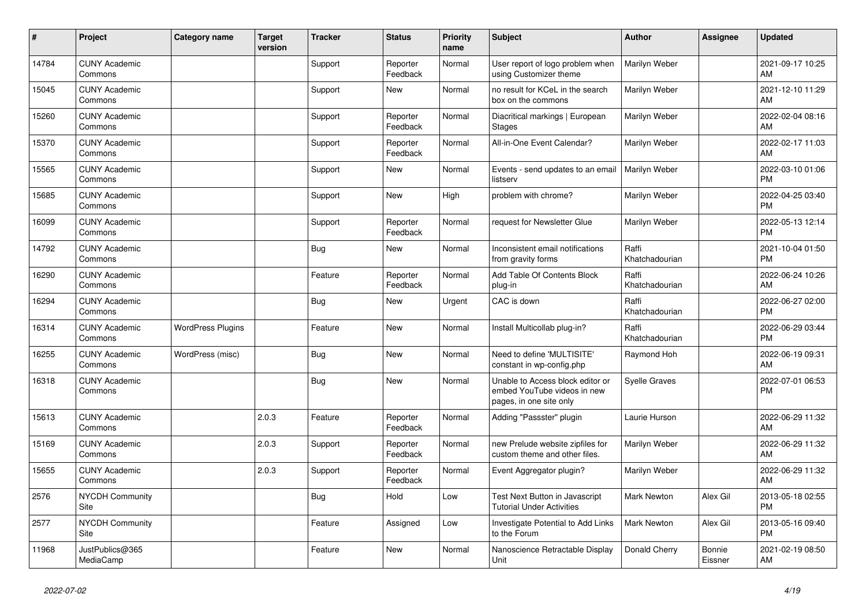| ∦     | Project                         | <b>Category name</b>     | <b>Target</b><br>version | <b>Tracker</b> | <b>Status</b>        | <b>Priority</b><br>name | <b>Subject</b>                                                                             | <b>Author</b>           | <b>Assignee</b>   | <b>Updated</b>                |
|-------|---------------------------------|--------------------------|--------------------------|----------------|----------------------|-------------------------|--------------------------------------------------------------------------------------------|-------------------------|-------------------|-------------------------------|
| 14784 | <b>CUNY Academic</b><br>Commons |                          |                          | Support        | Reporter<br>Feedback | Normal                  | User report of logo problem when<br>using Customizer theme                                 | Marilyn Weber           |                   | 2021-09-17 10:25<br><b>AM</b> |
| 15045 | <b>CUNY Academic</b><br>Commons |                          |                          | Support        | <b>New</b>           | Normal                  | no result for KCeL in the search<br>box on the commons                                     | Marilyn Weber           |                   | 2021-12-10 11:29<br>AM        |
| 15260 | <b>CUNY Academic</b><br>Commons |                          |                          | Support        | Reporter<br>Feedback | Normal                  | Diacritical markings   European<br><b>Stages</b>                                           | Marilyn Weber           |                   | 2022-02-04 08:16<br>AM        |
| 15370 | <b>CUNY Academic</b><br>Commons |                          |                          | Support        | Reporter<br>Feedback | Normal                  | All-in-One Event Calendar?                                                                 | Marilyn Weber           |                   | 2022-02-17 11:03<br><b>AM</b> |
| 15565 | <b>CUNY Academic</b><br>Commons |                          |                          | Support        | <b>New</b>           | Normal                  | Events - send updates to an email<br>listserv                                              | <b>Marilyn Weber</b>    |                   | 2022-03-10 01:06<br><b>PM</b> |
| 15685 | <b>CUNY Academic</b><br>Commons |                          |                          | Support        | <b>New</b>           | High                    | problem with chrome?                                                                       | Marilyn Weber           |                   | 2022-04-25 03:40<br><b>PM</b> |
| 16099 | <b>CUNY Academic</b><br>Commons |                          |                          | Support        | Reporter<br>Feedback | Normal                  | request for Newsletter Glue                                                                | Marilyn Weber           |                   | 2022-05-13 12:14<br><b>PM</b> |
| 14792 | <b>CUNY Academic</b><br>Commons |                          |                          | <b>Bug</b>     | <b>New</b>           | Normal                  | Inconsistent email notifications<br>from gravity forms                                     | Raffi<br>Khatchadourian |                   | 2021-10-04 01:50<br><b>PM</b> |
| 16290 | <b>CUNY Academic</b><br>Commons |                          |                          | Feature        | Reporter<br>Feedback | Normal                  | Add Table Of Contents Block<br>plug-in                                                     | Raffi<br>Khatchadourian |                   | 2022-06-24 10:26<br>AM        |
| 16294 | <b>CUNY Academic</b><br>Commons |                          |                          | <b>Bug</b>     | <b>New</b>           | Urgent                  | CAC is down                                                                                | Raffi<br>Khatchadourian |                   | 2022-06-27 02:00<br><b>PM</b> |
| 16314 | <b>CUNY Academic</b><br>Commons | <b>WordPress Plugins</b> |                          | Feature        | <b>New</b>           | Normal                  | Install Multicollab plug-in?                                                               | Raffi<br>Khatchadourian |                   | 2022-06-29 03:44<br><b>PM</b> |
| 16255 | <b>CUNY Academic</b><br>Commons | WordPress (misc)         |                          | Bug            | <b>New</b>           | Normal                  | Need to define 'MULTISITE'<br>constant in wp-config.php                                    | Raymond Hoh             |                   | 2022-06-19 09:31<br>AM        |
| 16318 | <b>CUNY Academic</b><br>Commons |                          |                          | <b>Bug</b>     | <b>New</b>           | Normal                  | Unable to Access block editor or<br>embed YouTube videos in new<br>pages, in one site only | Syelle Graves           |                   | 2022-07-01 06:53<br>PM        |
| 15613 | <b>CUNY Academic</b><br>Commons |                          | 2.0.3                    | Feature        | Reporter<br>Feedback | Normal                  | Adding "Passster" plugin                                                                   | Laurie Hurson           |                   | 2022-06-29 11:32<br><b>AM</b> |
| 15169 | <b>CUNY Academic</b><br>Commons |                          | 2.0.3                    | Support        | Reporter<br>Feedback | Normal                  | new Prelude website zipfiles for<br>custom theme and other files.                          | Marilyn Weber           |                   | 2022-06-29 11:32<br>AM        |
| 15655 | <b>CUNY Academic</b><br>Commons |                          | 2.0.3                    | Support        | Reporter<br>Feedback | Normal                  | Event Aggregator plugin?                                                                   | Marilyn Weber           |                   | 2022-06-29 11:32<br>AM        |
| 2576  | <b>NYCDH Community</b><br>Site  |                          |                          | <b>Bug</b>     | Hold                 | Low                     | Test Next Button in Javascript<br><b>Tutorial Under Activities</b>                         | <b>Mark Newton</b>      | Alex Gil          | 2013-05-18 02:55<br><b>PM</b> |
| 2577  | <b>NYCDH Community</b><br>Site  |                          |                          | Feature        | Assigned             | Low                     | Investigate Potential to Add Links<br>to the Forum                                         | <b>Mark Newton</b>      | Alex Gil          | 2013-05-16 09:40<br><b>PM</b> |
| 11968 | JustPublics@365<br>MediaCamp    |                          |                          | Feature        | <b>New</b>           | Normal                  | Nanoscience Retractable Display<br>Unit                                                    | Donald Cherry           | Bonnie<br>Eissner | 2021-02-19 08:50<br>AM        |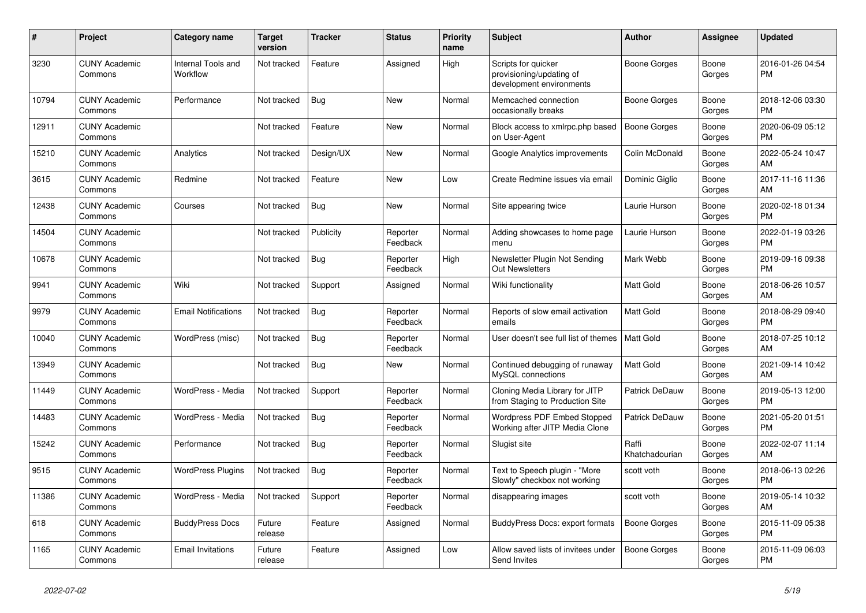| $\vert$ # | <b>Project</b>                  | <b>Category name</b>           | <b>Target</b><br>version | <b>Tracker</b> | <b>Status</b>        | <b>Priority</b><br>name | <b>Subject</b>                                                              | <b>Author</b>           | Assignee        | <b>Updated</b>                |
|-----------|---------------------------------|--------------------------------|--------------------------|----------------|----------------------|-------------------------|-----------------------------------------------------------------------------|-------------------------|-----------------|-------------------------------|
| 3230      | <b>CUNY Academic</b><br>Commons | Internal Tools and<br>Workflow | Not tracked              | Feature        | Assigned             | High                    | Scripts for quicker<br>provisioning/updating of<br>development environments | Boone Gorges            | Boone<br>Gorges | 2016-01-26 04:54<br><b>PM</b> |
| 10794     | <b>CUNY Academic</b><br>Commons | Performance                    | Not tracked              | <b>Bug</b>     | New                  | Normal                  | Memcached connection<br>occasionally breaks                                 | Boone Gorges            | Boone<br>Gorges | 2018-12-06 03:30<br><b>PM</b> |
| 12911     | <b>CUNY Academic</b><br>Commons |                                | Not tracked              | Feature        | <b>New</b>           | Normal                  | Block access to xmlrpc.php based<br>on User-Agent                           | <b>Boone Gorges</b>     | Boone<br>Gorges | 2020-06-09 05:12<br><b>PM</b> |
| 15210     | <b>CUNY Academic</b><br>Commons | Analytics                      | Not tracked              | Design/UX      | <b>New</b>           | Normal                  | Google Analytics improvements                                               | Colin McDonald          | Boone<br>Gorges | 2022-05-24 10:47<br><b>AM</b> |
| 3615      | <b>CUNY Academic</b><br>Commons | Redmine                        | Not tracked              | Feature        | New                  | Low                     | Create Redmine issues via email                                             | Dominic Giglio          | Boone<br>Gorges | 2017-11-16 11:36<br>AM        |
| 12438     | <b>CUNY Academic</b><br>Commons | Courses                        | Not tracked              | Bug            | <b>New</b>           | Normal                  | Site appearing twice                                                        | Laurie Hurson           | Boone<br>Gorges | 2020-02-18 01:34<br><b>PM</b> |
| 14504     | <b>CUNY Academic</b><br>Commons |                                | Not tracked              | Publicity      | Reporter<br>Feedback | Normal                  | Adding showcases to home page<br>menu                                       | Laurie Hurson           | Boone<br>Gorges | 2022-01-19 03:26<br><b>PM</b> |
| 10678     | <b>CUNY Academic</b><br>Commons |                                | Not tracked              | Bug            | Reporter<br>Feedback | High                    | Newsletter Plugin Not Sending<br><b>Out Newsletters</b>                     | Mark Webb               | Boone<br>Gorges | 2019-09-16 09:38<br><b>PM</b> |
| 9941      | <b>CUNY Academic</b><br>Commons | Wiki                           | Not tracked              | Support        | Assigned             | Normal                  | Wiki functionality                                                          | <b>Matt Gold</b>        | Boone<br>Gorges | 2018-06-26 10:57<br><b>AM</b> |
| 9979      | <b>CUNY Academic</b><br>Commons | <b>Email Notifications</b>     | Not tracked              | <b>Bug</b>     | Reporter<br>Feedback | Normal                  | Reports of slow email activation<br>emails                                  | Matt Gold               | Boone<br>Gorges | 2018-08-29 09:40<br><b>PM</b> |
| 10040     | <b>CUNY Academic</b><br>Commons | WordPress (misc)               | Not tracked              | Bug            | Reporter<br>Feedback | Normal                  | User doesn't see full list of themes                                        | <b>Matt Gold</b>        | Boone<br>Gorges | 2018-07-25 10:12<br>AM        |
| 13949     | <b>CUNY Academic</b><br>Commons |                                | Not tracked              | Bug            | New                  | Normal                  | Continued debugging of runaway<br>MySQL connections                         | <b>Matt Gold</b>        | Boone<br>Gorges | 2021-09-14 10:42<br><b>AM</b> |
| 11449     | <b>CUNY Academic</b><br>Commons | WordPress - Media              | Not tracked              | Support        | Reporter<br>Feedback | Normal                  | Cloning Media Library for JITP<br>from Staging to Production Site           | Patrick DeDauw          | Boone<br>Gorges | 2019-05-13 12:00<br><b>PM</b> |
| 14483     | <b>CUNY Academic</b><br>Commons | WordPress - Media              | Not tracked              | Bug            | Reporter<br>Feedback | Normal                  | Wordpress PDF Embed Stopped<br>Working after JITP Media Clone               | Patrick DeDauw          | Boone<br>Gorges | 2021-05-20 01:51<br><b>PM</b> |
| 15242     | <b>CUNY Academic</b><br>Commons | Performance                    | Not tracked              | <b>Bug</b>     | Reporter<br>Feedback | Normal                  | Slugist site                                                                | Raffi<br>Khatchadourian | Boone<br>Gorges | 2022-02-07 11:14<br>AM        |
| 9515      | <b>CUNY Academic</b><br>Commons | <b>WordPress Plugins</b>       | Not tracked              | <b>Bug</b>     | Reporter<br>Feedback | Normal                  | Text to Speech plugin - "More<br>Slowly" checkbox not working               | scott voth              | Boone<br>Gorges | 2018-06-13 02:26<br><b>PM</b> |
| 11386     | <b>CUNY Academic</b><br>Commons | WordPress - Media              | Not tracked              | Support        | Reporter<br>Feedback | Normal                  | disappearing images                                                         | scott voth              | Boone<br>Gorges | 2019-05-14 10:32<br>AM        |
| 618       | <b>CUNY Academic</b><br>Commons | <b>BuddyPress Docs</b>         | Future<br>release        | Feature        | Assigned             | Normal                  | BuddyPress Docs: export formats                                             | <b>Boone Gorges</b>     | Boone<br>Gorges | 2015-11-09 05:38<br><b>PM</b> |
| 1165      | <b>CUNY Academic</b><br>Commons | <b>Email Invitations</b>       | Future<br>release        | Feature        | Assigned             | Low                     | Allow saved lists of invitees under<br>Send Invites                         | <b>Boone Gorges</b>     | Boone<br>Gorges | 2015-11-09 06:03<br><b>PM</b> |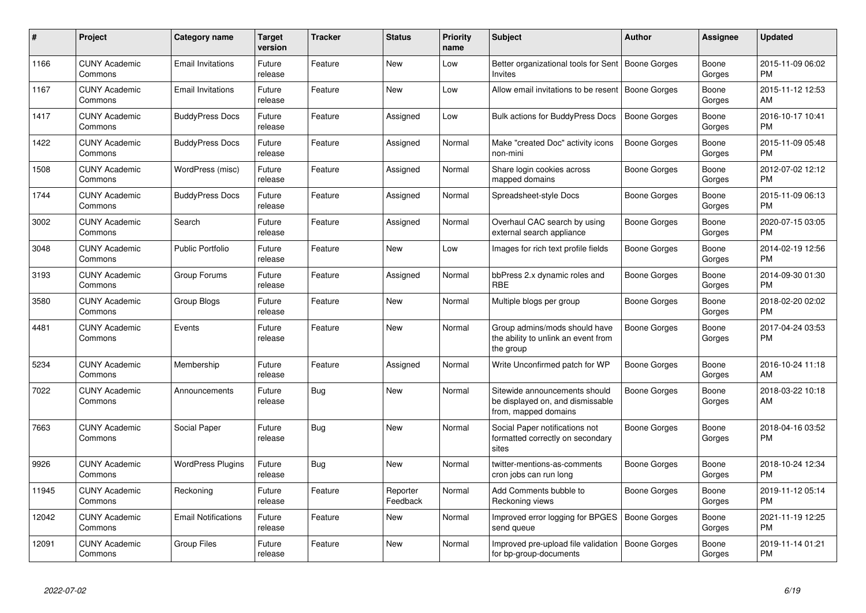| #     | Project                         | <b>Category name</b>       | Target<br>version | <b>Tracker</b> | <b>Status</b>        | <b>Priority</b><br>name | <b>Subject</b>                                                                            | <b>Author</b>       | Assignee        | <b>Updated</b>                |
|-------|---------------------------------|----------------------------|-------------------|----------------|----------------------|-------------------------|-------------------------------------------------------------------------------------------|---------------------|-----------------|-------------------------------|
| 1166  | <b>CUNY Academic</b><br>Commons | <b>Email Invitations</b>   | Future<br>release | Feature        | <b>New</b>           | Low                     | Better organizational tools for Sent<br><b>Invites</b>                                    | Boone Gorges        | Boone<br>Gorges | 2015-11-09 06:02<br><b>PM</b> |
| 1167  | <b>CUNY Academic</b><br>Commons | <b>Email Invitations</b>   | Future<br>release | Feature        | <b>New</b>           | Low                     | Allow email invitations to be resent                                                      | Boone Gorges        | Boone<br>Gorges | 2015-11-12 12:53<br>AM        |
| 1417  | <b>CUNY Academic</b><br>Commons | <b>BuddyPress Docs</b>     | Future<br>release | Feature        | Assigned             | Low                     | <b>Bulk actions for BuddyPress Docs</b>                                                   | Boone Gorges        | Boone<br>Gorges | 2016-10-17 10:41<br><b>PM</b> |
| 1422  | <b>CUNY Academic</b><br>Commons | <b>BuddyPress Docs</b>     | Future<br>release | Feature        | Assigned             | Normal                  | Make "created Doc" activity icons<br>non-mini                                             | Boone Gorges        | Boone<br>Gorges | 2015-11-09 05:48<br><b>PM</b> |
| 1508  | <b>CUNY Academic</b><br>Commons | WordPress (misc)           | Future<br>release | Feature        | Assigned             | Normal                  | Share login cookies across<br>mapped domains                                              | Boone Gorges        | Boone<br>Gorges | 2012-07-02 12:12<br>PM.       |
| 1744  | <b>CUNY Academic</b><br>Commons | <b>BuddyPress Docs</b>     | Future<br>release | Feature        | Assigned             | Normal                  | Spreadsheet-style Docs                                                                    | Boone Gorges        | Boone<br>Gorges | 2015-11-09 06:13<br><b>PM</b> |
| 3002  | <b>CUNY Academic</b><br>Commons | Search                     | Future<br>release | Feature        | Assigned             | Normal                  | Overhaul CAC search by using<br>external search appliance                                 | Boone Gorges        | Boone<br>Gorges | 2020-07-15 03:05<br><b>PM</b> |
| 3048  | <b>CUNY Academic</b><br>Commons | <b>Public Portfolio</b>    | Future<br>release | Feature        | <b>New</b>           | Low                     | Images for rich text profile fields                                                       | Boone Gorges        | Boone<br>Gorges | 2014-02-19 12:56<br><b>PM</b> |
| 3193  | <b>CUNY Academic</b><br>Commons | Group Forums               | Future<br>release | Feature        | Assigned             | Normal                  | bbPress 2.x dynamic roles and<br><b>RBE</b>                                               | Boone Gorges        | Boone<br>Gorges | 2014-09-30 01:30<br><b>PM</b> |
| 3580  | <b>CUNY Academic</b><br>Commons | Group Blogs                | Future<br>release | Feature        | New                  | Normal                  | Multiple blogs per group                                                                  | Boone Gorges        | Boone<br>Gorges | 2018-02-20 02:02<br><b>PM</b> |
| 4481  | <b>CUNY Academic</b><br>Commons | Events                     | Future<br>release | Feature        | New                  | Normal                  | Group admins/mods should have<br>the ability to unlink an event from<br>the group         | Boone Gorges        | Boone<br>Gorges | 2017-04-24 03:53<br><b>PM</b> |
| 5234  | <b>CUNY Academic</b><br>Commons | Membership                 | Future<br>release | Feature        | Assigned             | Normal                  | Write Unconfirmed patch for WP                                                            | Boone Gorges        | Boone<br>Gorges | 2016-10-24 11:18<br>AM        |
| 7022  | <b>CUNY Academic</b><br>Commons | Announcements              | Future<br>release | Bug            | <b>New</b>           | Normal                  | Sitewide announcements should<br>be displayed on, and dismissable<br>from, mapped domains | Boone Gorges        | Boone<br>Gorges | 2018-03-22 10:18<br>AM        |
| 7663  | <b>CUNY Academic</b><br>Commons | Social Paper               | Future<br>release | Bug            | New                  | Normal                  | Social Paper notifications not<br>formatted correctly on secondary<br>sites               | Boone Gorges        | Boone<br>Gorges | 2018-04-16 03:52<br>PM        |
| 9926  | <b>CUNY Academic</b><br>Commons | <b>WordPress Plugins</b>   | Future<br>release | Bug            | <b>New</b>           | Normal                  | twitter-mentions-as-comments<br>cron jobs can run long                                    | Boone Gorges        | Boone<br>Gorges | 2018-10-24 12:34<br><b>PM</b> |
| 11945 | <b>CUNY Academic</b><br>Commons | Reckoning                  | Future<br>release | Feature        | Reporter<br>Feedback | Normal                  | Add Comments bubble to<br>Reckoning views                                                 | Boone Gorges        | Boone<br>Gorges | 2019-11-12 05:14<br><b>PM</b> |
| 12042 | <b>CUNY Academic</b><br>Commons | <b>Email Notifications</b> | Future<br>release | Feature        | <b>New</b>           | Normal                  | Improved error logging for BPGES<br>send queue                                            | Boone Gorges        | Boone<br>Gorges | 2021-11-19 12:25<br>PM        |
| 12091 | <b>CUNY Academic</b><br>Commons | <b>Group Files</b>         | Future<br>release | Feature        | <b>New</b>           | Normal                  | Improved pre-upload file validation<br>for bp-group-documents                             | <b>Boone Gorges</b> | Boone<br>Gorges | 2019-11-14 01:21<br>PM        |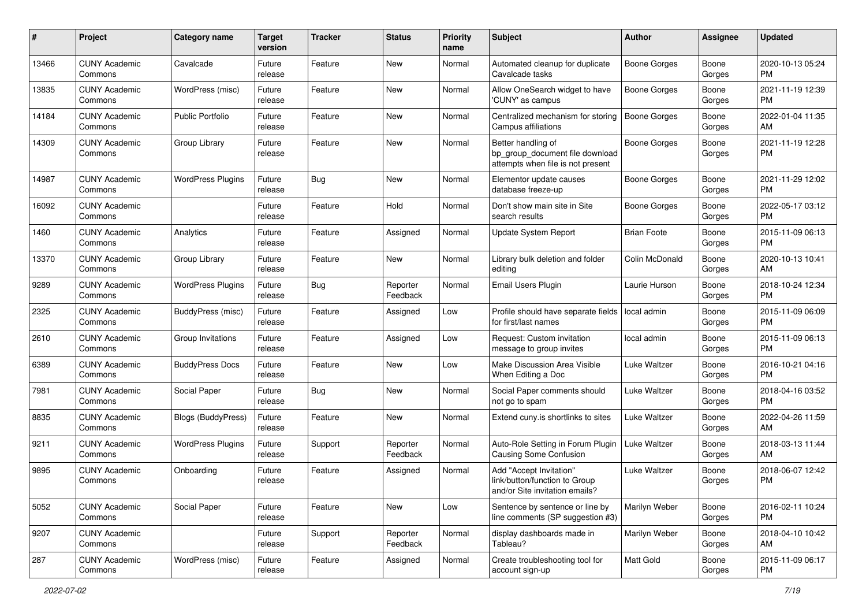| #     | Project                         | <b>Category name</b>     | <b>Target</b><br>version | <b>Tracker</b> | <b>Status</b>        | <b>Priority</b><br>name | <b>Subject</b>                                                                             | Author              | Assignee        | <b>Updated</b>                |
|-------|---------------------------------|--------------------------|--------------------------|----------------|----------------------|-------------------------|--------------------------------------------------------------------------------------------|---------------------|-----------------|-------------------------------|
| 13466 | <b>CUNY Academic</b><br>Commons | Cavalcade                | Future<br>release        | Feature        | New                  | Normal                  | Automated cleanup for duplicate<br>Cavalcade tasks                                         | Boone Gorges        | Boone<br>Gorges | 2020-10-13 05:24<br>PM        |
| 13835 | <b>CUNY Academic</b><br>Commons | WordPress (misc)         | Future<br>release        | Feature        | New                  | Normal                  | Allow OneSearch widget to have<br>'CUNY' as campus                                         | <b>Boone Gorges</b> | Boone<br>Gorges | 2021-11-19 12:39<br><b>PM</b> |
| 14184 | <b>CUNY Academic</b><br>Commons | <b>Public Portfolio</b>  | Future<br>release        | Feature        | New                  | Normal                  | Centralized mechanism for storing<br>Campus affiliations                                   | Boone Gorges        | Boone<br>Gorges | 2022-01-04 11:35<br>AM        |
| 14309 | <b>CUNY Academic</b><br>Commons | Group Library            | Future<br>release        | Feature        | New                  | Normal                  | Better handling of<br>bp_group_document file download<br>attempts when file is not present | Boone Gorges        | Boone<br>Gorges | 2021-11-19 12:28<br><b>PM</b> |
| 14987 | <b>CUNY Academic</b><br>Commons | <b>WordPress Plugins</b> | Future<br>release        | Bug            | New                  | Normal                  | Elementor update causes<br>database freeze-up                                              | Boone Gorges        | Boone<br>Gorges | 2021-11-29 12:02<br>PM.       |
| 16092 | <b>CUNY Academic</b><br>Commons |                          | Future<br>release        | Feature        | Hold                 | Normal                  | Don't show main site in Site<br>search results                                             | Boone Gorges        | Boone<br>Gorges | 2022-05-17 03:12<br><b>PM</b> |
| 1460  | <b>CUNY Academic</b><br>Commons | Analytics                | Future<br>release        | Feature        | Assigned             | Normal                  | Update System Report                                                                       | <b>Brian Foote</b>  | Boone<br>Gorges | 2015-11-09 06:13<br><b>PM</b> |
| 13370 | <b>CUNY Academic</b><br>Commons | Group Library            | Future<br>release        | Feature        | New                  | Normal                  | Library bulk deletion and folder<br>editing                                                | Colin McDonald      | Boone<br>Gorges | 2020-10-13 10:41<br>AM        |
| 9289  | <b>CUNY Academic</b><br>Commons | <b>WordPress Plugins</b> | Future<br>release        | Bug            | Reporter<br>Feedback | Normal                  | Email Users Plugin                                                                         | Laurie Hurson       | Boone<br>Gorges | 2018-10-24 12:34<br>PM        |
| 2325  | <b>CUNY Academic</b><br>Commons | <b>BuddyPress (misc)</b> | Future<br>release        | Feature        | Assigned             | Low                     | Profile should have separate fields<br>for first/last names                                | local admin         | Boone<br>Gorges | 2015-11-09 06:09<br><b>PM</b> |
| 2610  | <b>CUNY Academic</b><br>Commons | Group Invitations        | Future<br>release        | Feature        | Assigned             | Low                     | Request: Custom invitation<br>message to group invites                                     | local admin         | Boone<br>Gorges | 2015-11-09 06:13<br><b>PM</b> |
| 6389  | <b>CUNY Academic</b><br>Commons | <b>BuddyPress Docs</b>   | Future<br>release        | Feature        | New                  | Low                     | Make Discussion Area Visible<br>When Editing a Doc                                         | Luke Waltzer        | Boone<br>Gorges | 2016-10-21 04:16<br><b>PM</b> |
| 7981  | <b>CUNY Academic</b><br>Commons | Social Paper             | Future<br>release        | Bug            | New                  | Normal                  | Social Paper comments should<br>not go to spam                                             | Luke Waltzer        | Boone<br>Gorges | 2018-04-16 03:52<br><b>PM</b> |
| 8835  | <b>CUNY Academic</b><br>Commons | Blogs (BuddyPress)       | Future<br>release        | Feature        | New                  | Normal                  | Extend cuny is shortlinks to sites                                                         | Luke Waltzer        | Boone<br>Gorges | 2022-04-26 11:59<br>AM        |
| 9211  | <b>CUNY Academic</b><br>Commons | <b>WordPress Plugins</b> | Future<br>release        | Support        | Reporter<br>Feedback | Normal                  | Auto-Role Setting in Forum Plugin<br><b>Causing Some Confusion</b>                         | Luke Waltzer        | Boone<br>Gorges | 2018-03-13 11:44<br>AM        |
| 9895  | <b>CUNY Academic</b><br>Commons | Onboarding               | Future<br>release        | Feature        | Assigned             | Normal                  | Add "Accept Invitation"<br>link/button/function to Group<br>and/or Site invitation emails? | Luke Waltzer        | Boone<br>Gorges | 2018-06-07 12:42<br><b>PM</b> |
| 5052  | <b>CUNY Academic</b><br>Commons | Social Paper             | Future<br>release        | Feature        | New                  | Low                     | Sentence by sentence or line by<br>line comments (SP suggestion #3)                        | Marilyn Weber       | Boone<br>Gorges | 2016-02-11 10:24<br>PM        |
| 9207  | <b>CUNY Academic</b><br>Commons |                          | Future<br>release        | Support        | Reporter<br>Feedback | Normal                  | display dashboards made in<br>Tableau?                                                     | Marilyn Weber       | Boone<br>Gorges | 2018-04-10 10:42<br>AM        |
| 287   | <b>CUNY Academic</b><br>Commons | WordPress (misc)         | Future<br>release        | Feature        | Assigned             | Normal                  | Create troubleshooting tool for<br>account sign-up                                         | Matt Gold           | Boone<br>Gorges | 2015-11-09 06:17<br>PM        |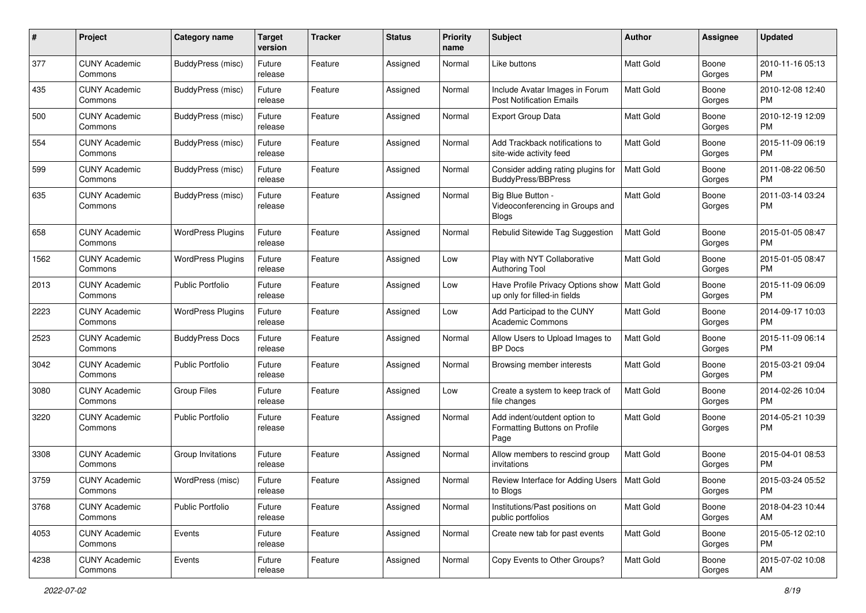| #    | Project                         | <b>Category name</b>     | <b>Target</b><br>version | <b>Tracker</b> | <b>Status</b> | <b>Priority</b><br>name | Subject                                                                       | <b>Author</b>    | Assignee        | <b>Updated</b>                |
|------|---------------------------------|--------------------------|--------------------------|----------------|---------------|-------------------------|-------------------------------------------------------------------------------|------------------|-----------------|-------------------------------|
| 377  | <b>CUNY Academic</b><br>Commons | BuddyPress (misc)        | Future<br>release        | Feature        | Assigned      | Normal                  | Like buttons                                                                  | Matt Gold        | Boone<br>Gorges | 2010-11-16 05:13<br>PM        |
| 435  | <b>CUNY Academic</b><br>Commons | <b>BuddyPress (misc)</b> | Future<br>release        | Feature        | Assigned      | Normal                  | Include Avatar Images in Forum<br><b>Post Notification Emails</b>             | <b>Matt Gold</b> | Boone<br>Gorges | 2010-12-08 12:40<br><b>PM</b> |
| 500  | CUNY Academic<br>Commons        | <b>BuddyPress (misc)</b> | Future<br>release        | Feature        | Assigned      | Normal                  | Export Group Data                                                             | <b>Matt Gold</b> | Boone<br>Gorges | 2010-12-19 12:09<br><b>PM</b> |
| 554  | <b>CUNY Academic</b><br>Commons | BuddyPress (misc)        | Future<br>release        | Feature        | Assigned      | Normal                  | Add Trackback notifications to<br>site-wide activity feed                     | <b>Matt Gold</b> | Boone<br>Gorges | 2015-11-09 06:19<br><b>PM</b> |
| 599  | <b>CUNY Academic</b><br>Commons | BuddyPress (misc)        | Future<br>release        | Feature        | Assigned      | Normal                  | Consider adding rating plugins for<br>BuddyPress/BBPress                      | <b>Matt Gold</b> | Boone<br>Gorges | 2011-08-22 06:50<br><b>PM</b> |
| 635  | <b>CUNY Academic</b><br>Commons | BuddyPress (misc)        | Future<br>release        | Feature        | Assigned      | Normal                  | Big Blue Button -<br>Videoconferencing in Groups and<br><b>Blogs</b>          | Matt Gold        | Boone<br>Gorges | 2011-03-14 03:24<br><b>PM</b> |
| 658  | <b>CUNY Academic</b><br>Commons | <b>WordPress Plugins</b> | Future<br>release        | Feature        | Assigned      | Normal                  | Rebulid Sitewide Tag Suggestion                                               | <b>Matt Gold</b> | Boone<br>Gorges | 2015-01-05 08:47<br><b>PM</b> |
| 1562 | <b>CUNY Academic</b><br>Commons | <b>WordPress Plugins</b> | Future<br>release        | Feature        | Assigned      | Low                     | Play with NYT Collaborative<br><b>Authoring Tool</b>                          | <b>Matt Gold</b> | Boone<br>Gorges | 2015-01-05 08:47<br><b>PM</b> |
| 2013 | <b>CUNY Academic</b><br>Commons | <b>Public Portfolio</b>  | Future<br>release        | Feature        | Assigned      | Low                     | Have Profile Privacy Options show   Matt Gold<br>up only for filled-in fields |                  | Boone<br>Gorges | 2015-11-09 06:09<br><b>PM</b> |
| 2223 | <b>CUNY Academic</b><br>Commons | <b>WordPress Plugins</b> | Future<br>release        | Feature        | Assigned      | Low                     | Add Participad to the CUNY<br><b>Academic Commons</b>                         | <b>Matt Gold</b> | Boone<br>Gorges | 2014-09-17 10:03<br><b>PM</b> |
| 2523 | CUNY Academic<br>Commons        | <b>BuddyPress Docs</b>   | Future<br>release        | Feature        | Assigned      | Normal                  | Allow Users to Upload Images to<br><b>BP</b> Docs                             | Matt Gold        | Boone<br>Gorges | 2015-11-09 06:14<br><b>PM</b> |
| 3042 | <b>CUNY Academic</b><br>Commons | <b>Public Portfolio</b>  | Future<br>release        | Feature        | Assigned      | Normal                  | Browsing member interests                                                     | Matt Gold        | Boone<br>Gorges | 2015-03-21 09:04<br><b>PM</b> |
| 3080 | <b>CUNY Academic</b><br>Commons | <b>Group Files</b>       | Future<br>release        | Feature        | Assigned      | Low                     | Create a system to keep track of<br>file changes                              | <b>Matt Gold</b> | Boone<br>Gorges | 2014-02-26 10:04<br><b>PM</b> |
| 3220 | <b>CUNY Academic</b><br>Commons | <b>Public Portfolio</b>  | Future<br>release        | Feature        | Assigned      | Normal                  | Add indent/outdent option to<br>Formatting Buttons on Profile<br>Page         | Matt Gold        | Boone<br>Gorges | 2014-05-21 10:39<br><b>PM</b> |
| 3308 | <b>CUNY Academic</b><br>Commons | Group Invitations        | Future<br>release        | Feature        | Assigned      | Normal                  | Allow members to rescind group<br>invitations                                 | <b>Matt Gold</b> | Boone<br>Gorges | 2015-04-01 08:53<br><b>PM</b> |
| 3759 | <b>CUNY Academic</b><br>Commons | WordPress (misc)         | Future<br>release        | Feature        | Assigned      | Normal                  | Review Interface for Adding Users<br>to Blogs                                 | Matt Gold        | Boone<br>Gorges | 2015-03-24 05:52<br>PM        |
| 3768 | <b>CUNY Academic</b><br>Commons | <b>Public Portfolio</b>  | Future<br>release        | Feature        | Assigned      | Normal                  | Institutions/Past positions on<br>public portfolios                           | Matt Gold        | Boone<br>Gorges | 2018-04-23 10:44<br>AM        |
| 4053 | <b>CUNY Academic</b><br>Commons | Events                   | Future<br>release        | Feature        | Assigned      | Normal                  | Create new tab for past events                                                | <b>Matt Gold</b> | Boone<br>Gorges | 2015-05-12 02:10<br><b>PM</b> |
| 4238 | <b>CUNY Academic</b><br>Commons | Events                   | Future<br>release        | Feature        | Assigned      | Normal                  | Copy Events to Other Groups?                                                  | Matt Gold        | Boone<br>Gorges | 2015-07-02 10:08<br>AM        |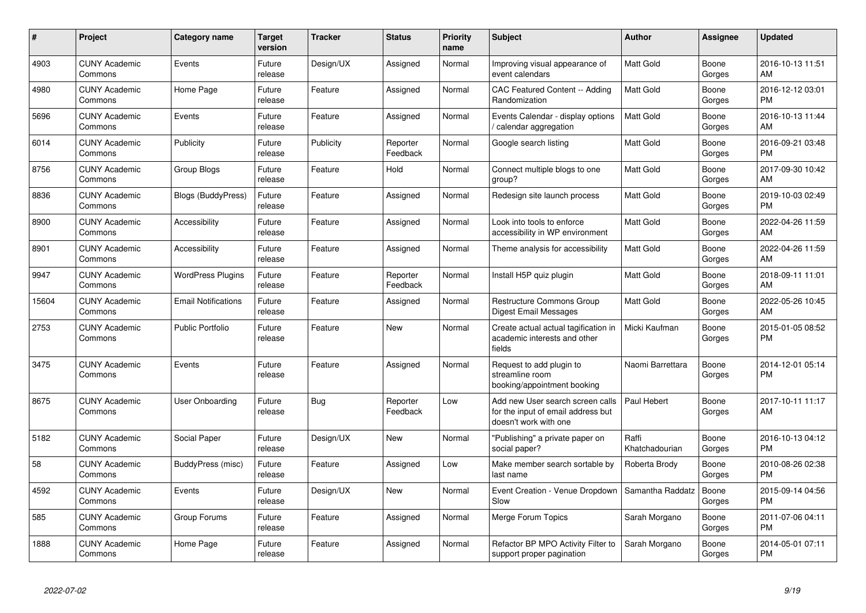| $\#$  | Project                         | <b>Category name</b>       | <b>Target</b><br>version | <b>Tracker</b> | <b>Status</b>        | <b>Priority</b><br>name | <b>Subject</b>                                                                                  | <b>Author</b>           | Assignee        | <b>Updated</b>                |
|-------|---------------------------------|----------------------------|--------------------------|----------------|----------------------|-------------------------|-------------------------------------------------------------------------------------------------|-------------------------|-----------------|-------------------------------|
| 4903  | <b>CUNY Academic</b><br>Commons | Events                     | Future<br>release        | Design/UX      | Assigned             | Normal                  | Improving visual appearance of<br>event calendars                                               | <b>Matt Gold</b>        | Boone<br>Gorges | 2016-10-13 11:51<br>AM        |
| 4980  | <b>CUNY Academic</b><br>Commons | Home Page                  | Future<br>release        | Feature        | Assigned             | Normal                  | <b>CAC Featured Content -- Adding</b><br>Randomization                                          | <b>Matt Gold</b>        | Boone<br>Gorges | 2016-12-12 03:01<br><b>PM</b> |
| 5696  | <b>CUNY Academic</b><br>Commons | Events                     | Future<br>release        | Feature        | Assigned             | Normal                  | Events Calendar - display options<br>/ calendar aggregation                                     | <b>Matt Gold</b>        | Boone<br>Gorges | 2016-10-13 11:44<br>AM        |
| 6014  | <b>CUNY Academic</b><br>Commons | Publicity                  | Future<br>release        | Publicity      | Reporter<br>Feedback | Normal                  | Google search listing                                                                           | Matt Gold               | Boone<br>Gorges | 2016-09-21 03:48<br><b>PM</b> |
| 8756  | <b>CUNY Academic</b><br>Commons | <b>Group Blogs</b>         | Future<br>release        | Feature        | Hold                 | Normal                  | Connect multiple blogs to one<br>group?                                                         | Matt Gold               | Boone<br>Gorges | 2017-09-30 10:42<br>AM        |
| 8836  | <b>CUNY Academic</b><br>Commons | <b>Blogs (BuddyPress)</b>  | Future<br>release        | Feature        | Assigned             | Normal                  | Redesign site launch process                                                                    | Matt Gold               | Boone<br>Gorges | 2019-10-03 02:49<br><b>PM</b> |
| 8900  | <b>CUNY Academic</b><br>Commons | Accessibility              | Future<br>release        | Feature        | Assigned             | Normal                  | Look into tools to enforce<br>accessibility in WP environment                                   | <b>Matt Gold</b>        | Boone<br>Gorges | 2022-04-26 11:59<br>AM        |
| 8901  | <b>CUNY Academic</b><br>Commons | Accessibility              | Future<br>release        | Feature        | Assigned             | Normal                  | Theme analysis for accessibility                                                                | <b>Matt Gold</b>        | Boone<br>Gorges | 2022-04-26 11:59<br>AM        |
| 9947  | <b>CUNY Academic</b><br>Commons | <b>WordPress Plugins</b>   | Future<br>release        | Feature        | Reporter<br>Feedback | Normal                  | Install H5P quiz plugin                                                                         | <b>Matt Gold</b>        | Boone<br>Gorges | 2018-09-11 11:01<br>AM        |
| 15604 | <b>CUNY Academic</b><br>Commons | <b>Email Notifications</b> | Future<br>release        | Feature        | Assigned             | Normal                  | <b>Restructure Commons Group</b><br>Digest Email Messages                                       | Matt Gold               | Boone<br>Gorges | 2022-05-26 10:45<br>AM        |
| 2753  | <b>CUNY Academic</b><br>Commons | <b>Public Portfolio</b>    | Future<br>release        | Feature        | New                  | Normal                  | Create actual actual tagification in<br>academic interests and other<br>fields                  | Micki Kaufman           | Boone<br>Gorges | 2015-01-05 08:52<br><b>PM</b> |
| 3475  | <b>CUNY Academic</b><br>Commons | Events                     | Future<br>release        | Feature        | Assigned             | Normal                  | Request to add plugin to<br>streamline room<br>booking/appointment booking                      | Naomi Barrettara        | Boone<br>Gorges | 2014-12-01 05:14<br><b>PM</b> |
| 8675  | <b>CUNY Academic</b><br>Commons | User Onboarding            | Future<br>release        | Bug            | Reporter<br>Feedback | Low                     | Add new User search screen calls<br>for the input of email address but<br>doesn't work with one | Paul Hebert             | Boone<br>Gorges | 2017-10-11 11:17<br>AM        |
| 5182  | <b>CUNY Academic</b><br>Commons | Social Paper               | Future<br>release        | Design/UX      | New                  | Normal                  | "Publishing" a private paper on<br>social paper?                                                | Raffi<br>Khatchadourian | Boone<br>Gorges | 2016-10-13 04:12<br><b>PM</b> |
| 58    | <b>CUNY Academic</b><br>Commons | BuddyPress (misc)          | Future<br>release        | Feature        | Assigned             | Low                     | Make member search sortable by<br>last name                                                     | Roberta Brody           | Boone<br>Gorges | 2010-08-26 02:38<br><b>PM</b> |
| 4592  | <b>CUNY Academic</b><br>Commons | Events                     | Future<br>release        | Design/UX      | New                  | Normal                  | Event Creation - Venue Dropdown<br>Slow                                                         | Samantha Raddatz        | Boone<br>Gorges | 2015-09-14 04:56<br><b>PM</b> |
| 585   | <b>CUNY Academic</b><br>Commons | Group Forums               | Future<br>release        | Feature        | Assigned             | Normal                  | Merge Forum Topics                                                                              | Sarah Morgano           | Boone<br>Gorges | 2011-07-06 04:11<br><b>PM</b> |
| 1888  | <b>CUNY Academic</b><br>Commons | Home Page                  | Future<br>release        | Feature        | Assigned             | Normal                  | Refactor BP MPO Activity Filter to<br>support proper pagination                                 | Sarah Morgano           | Boone<br>Gorges | 2014-05-01 07:11<br><b>PM</b> |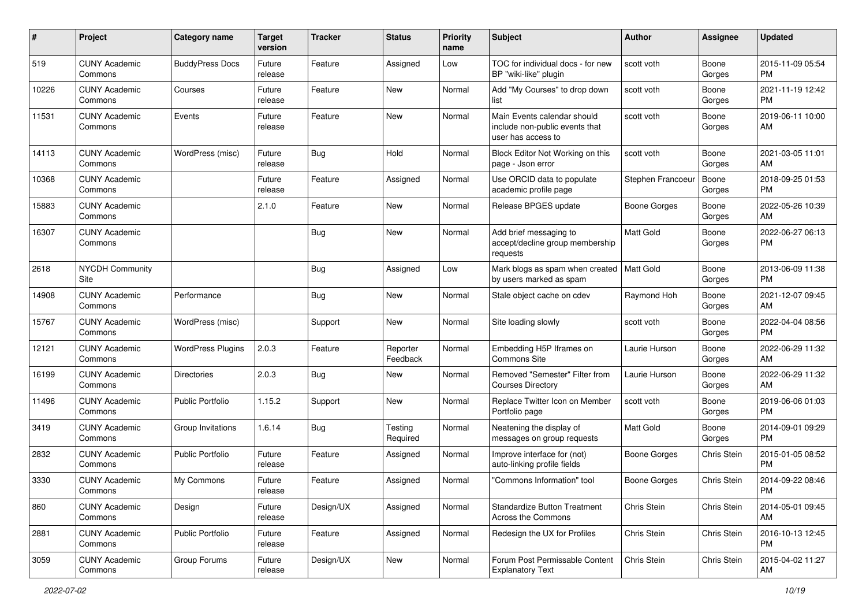| #     | Project                         | <b>Category name</b>     | <b>Target</b><br>version | <b>Tracker</b> | <b>Status</b>        | <b>Priority</b><br>name | Subject                                                                             | Author            | <b>Assignee</b> | <b>Updated</b>                |
|-------|---------------------------------|--------------------------|--------------------------|----------------|----------------------|-------------------------|-------------------------------------------------------------------------------------|-------------------|-----------------|-------------------------------|
| 519   | <b>CUNY Academic</b><br>Commons | <b>BuddyPress Docs</b>   | Future<br>release        | Feature        | Assigned             | Low                     | TOC for individual docs - for new<br>BP "wiki-like" plugin                          | scott voth        | Boone<br>Gorges | 2015-11-09 05:54<br><b>PM</b> |
| 10226 | <b>CUNY Academic</b><br>Commons | Courses                  | Future<br>release        | Feature        | New                  | Normal                  | Add "My Courses" to drop down<br>list                                               | scott voth        | Boone<br>Gorges | 2021-11-19 12:42<br><b>PM</b> |
| 11531 | <b>CUNY Academic</b><br>Commons | Events                   | Future<br>release        | Feature        | New                  | Normal                  | Main Events calendar should<br>include non-public events that<br>user has access to | scott voth        | Boone<br>Gorges | 2019-06-11 10:00<br>AM        |
| 14113 | <b>CUNY Academic</b><br>Commons | WordPress (misc)         | Future<br>release        | Bug            | Hold                 | Normal                  | Block Editor Not Working on this<br>page - Json error                               | scott voth        | Boone<br>Gorges | 2021-03-05 11:01<br>AM        |
| 10368 | <b>CUNY Academic</b><br>Commons |                          | Future<br>release        | Feature        | Assigned             | Normal                  | Use ORCID data to populate<br>academic profile page                                 | Stephen Francoeur | Boone<br>Gorges | 2018-09-25 01:53<br><b>PM</b> |
| 15883 | <b>CUNY Academic</b><br>Commons |                          | 2.1.0                    | Feature        | New                  | Normal                  | Release BPGES update                                                                | Boone Gorges      | Boone<br>Gorges | 2022-05-26 10:39<br>AM        |
| 16307 | <b>CUNY Academic</b><br>Commons |                          |                          | Bug            | New                  | Normal                  | Add brief messaging to<br>accept/decline group membership<br>requests               | <b>Matt Gold</b>  | Boone<br>Gorges | 2022-06-27 06:13<br>PM.       |
| 2618  | <b>NYCDH Community</b><br>Site  |                          |                          | Bug            | Assigned             | Low                     | Mark blogs as spam when created<br>by users marked as spam                          | <b>Matt Gold</b>  | Boone<br>Gorges | 2013-06-09 11:38<br><b>PM</b> |
| 14908 | <b>CUNY Academic</b><br>Commons | Performance              |                          | Bug            | <b>New</b>           | Normal                  | Stale object cache on cdev                                                          | Raymond Hoh       | Boone<br>Gorges | 2021-12-07 09:45<br>AM        |
| 15767 | <b>CUNY Academic</b><br>Commons | WordPress (misc)         |                          | Support        | <b>New</b>           | Normal                  | Site loading slowly                                                                 | scott voth        | Boone<br>Gorges | 2022-04-04 08:56<br>PM.       |
| 12121 | <b>CUNY Academic</b><br>Commons | <b>WordPress Plugins</b> | 2.0.3                    | Feature        | Reporter<br>Feedback | Normal                  | Embedding H5P Iframes on<br>Commons Site                                            | Laurie Hurson     | Boone<br>Gorges | 2022-06-29 11:32<br>AM        |
| 16199 | <b>CUNY Academic</b><br>Commons | Directories              | 2.0.3                    | Bug            | New                  | Normal                  | Removed "Semester" Filter from<br><b>Courses Directory</b>                          | Laurie Hurson     | Boone<br>Gorges | 2022-06-29 11:32<br>AM        |
| 11496 | <b>CUNY Academic</b><br>Commons | <b>Public Portfolio</b>  | 1.15.2                   | Support        | <b>New</b>           | Normal                  | Replace Twitter Icon on Member<br>Portfolio page                                    | scott voth        | Boone<br>Gorges | 2019-06-06 01:03<br>PM.       |
| 3419  | <b>CUNY Academic</b><br>Commons | Group Invitations        | 1.6.14                   | <b>Bug</b>     | Testing<br>Required  | Normal                  | Neatening the display of<br>messages on group requests                              | <b>Matt Gold</b>  | Boone<br>Gorges | 2014-09-01 09:29<br><b>PM</b> |
| 2832  | <b>CUNY Academic</b><br>Commons | <b>Public Portfolio</b>  | Future<br>release        | Feature        | Assigned             | Normal                  | Improve interface for (not)<br>auto-linking profile fields                          | Boone Gorges      | Chris Stein     | 2015-01-05 08:52<br><b>PM</b> |
| 3330  | <b>CUNY Academic</b><br>Commons | My Commons               | Future<br>release        | Feature        | Assigned             | Normal                  | "Commons Information" tool                                                          | Boone Gorges      | Chris Stein     | 2014-09-22 08:46<br>PM        |
| 860   | <b>CUNY Academic</b><br>Commons | Design                   | Future<br>release        | Design/UX      | Assigned             | Normal                  | <b>Standardize Button Treatment</b><br>Across the Commons                           | Chris Stein       | Chris Stein     | 2014-05-01 09:45<br>AM        |
| 2881  | <b>CUNY Academic</b><br>Commons | Public Portfolio         | Future<br>release        | Feature        | Assigned             | Normal                  | Redesign the UX for Profiles                                                        | Chris Stein       | Chris Stein     | 2016-10-13 12:45<br><b>PM</b> |
| 3059  | <b>CUNY Academic</b><br>Commons | Group Forums             | Future<br>release        | Design/UX      | New                  | Normal                  | Forum Post Permissable Content<br><b>Explanatory Text</b>                           | Chris Stein       | Chris Stein     | 2015-04-02 11:27<br>AM        |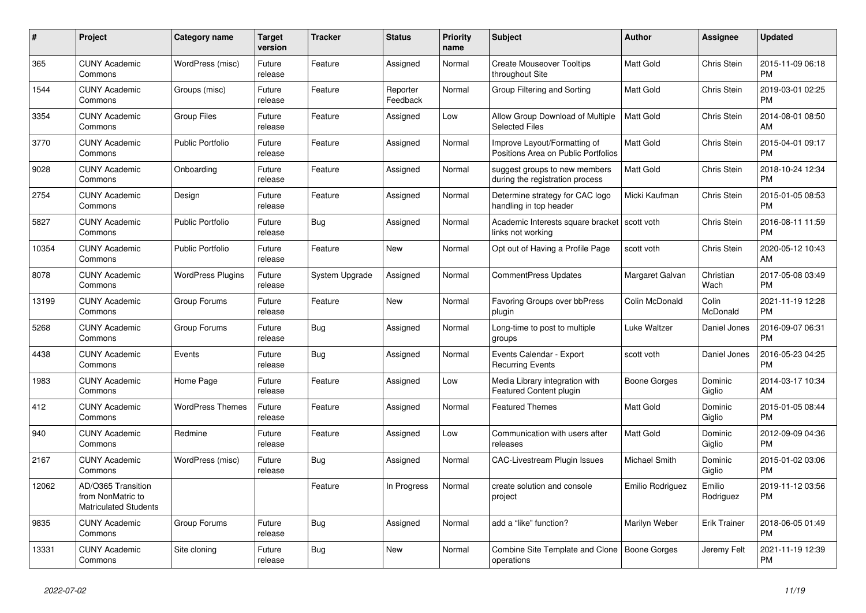| #     | Project                                                                 | Category name            | <b>Target</b><br>version | <b>Tracker</b> | <b>Status</b>        | <b>Priority</b><br>name | <b>Subject</b>                                                      | <b>Author</b>    | Assignee            | <b>Updated</b>                |
|-------|-------------------------------------------------------------------------|--------------------------|--------------------------|----------------|----------------------|-------------------------|---------------------------------------------------------------------|------------------|---------------------|-------------------------------|
| 365   | <b>CUNY Academic</b><br>Commons                                         | WordPress (misc)         | Future<br>release        | Feature        | Assigned             | Normal                  | <b>Create Mouseover Tooltips</b><br>throughout Site                 | <b>Matt Gold</b> | Chris Stein         | 2015-11-09 06:18<br><b>PM</b> |
| 1544  | <b>CUNY Academic</b><br>Commons                                         | Groups (misc)            | Future<br>release        | Feature        | Reporter<br>Feedback | Normal                  | Group Filtering and Sorting                                         | <b>Matt Gold</b> | Chris Stein         | 2019-03-01 02:25<br><b>PM</b> |
| 3354  | <b>CUNY Academic</b><br>Commons                                         | <b>Group Files</b>       | Future<br>release        | Feature        | Assigned             | Low                     | Allow Group Download of Multiple<br><b>Selected Files</b>           | Matt Gold        | Chris Stein         | 2014-08-01 08:50<br>AM        |
| 3770  | <b>CUNY Academic</b><br>Commons                                         | <b>Public Portfolio</b>  | Future<br>release        | Feature        | Assigned             | Normal                  | Improve Layout/Formatting of<br>Positions Area on Public Portfolios | <b>Matt Gold</b> | Chris Stein         | 2015-04-01 09:17<br><b>PM</b> |
| 9028  | <b>CUNY Academic</b><br>Commons                                         | Onboarding               | Future<br>release        | Feature        | Assigned             | Normal                  | suggest groups to new members<br>during the registration process    | Matt Gold        | Chris Stein         | 2018-10-24 12:34<br><b>PM</b> |
| 2754  | <b>CUNY Academic</b><br>Commons                                         | Design                   | Future<br>release        | Feature        | Assigned             | Normal                  | Determine strategy for CAC logo<br>handling in top header           | Micki Kaufman    | Chris Stein         | 2015-01-05 08:53<br><b>PM</b> |
| 5827  | <b>CUNY Academic</b><br>Commons                                         | <b>Public Portfolio</b>  | Future<br>release        | Bug            | Assigned             | Normal                  | Academic Interests square bracket<br>links not working              | scott voth       | Chris Stein         | 2016-08-11 11:59<br><b>PM</b> |
| 10354 | <b>CUNY Academic</b><br>Commons                                         | <b>Public Portfolio</b>  | Future<br>release        | Feature        | New                  | Normal                  | Opt out of Having a Profile Page                                    | scott voth       | Chris Stein         | 2020-05-12 10:43<br>AM        |
| 8078  | <b>CUNY Academic</b><br>Commons                                         | <b>WordPress Plugins</b> | Future<br>release        | System Upgrade | Assigned             | Normal                  | CommentPress Updates                                                | Margaret Galvan  | Christian<br>Wach   | 2017-05-08 03:49<br><b>PM</b> |
| 13199 | <b>CUNY Academic</b><br>Commons                                         | Group Forums             | Future<br>release        | Feature        | <b>New</b>           | Normal                  | Favoring Groups over bbPress<br>plugin                              | Colin McDonald   | Colin<br>McDonald   | 2021-11-19 12:28<br><b>PM</b> |
| 5268  | <b>CUNY Academic</b><br>Commons                                         | Group Forums             | Future<br>release        | Bug            | Assigned             | Normal                  | Long-time to post to multiple<br>groups                             | Luke Waltzer     | Daniel Jones        | 2016-09-07 06:31<br><b>PM</b> |
| 4438  | <b>CUNY Academic</b><br>Commons                                         | Events                   | Future<br>release        | Bug            | Assigned             | Normal                  | Events Calendar - Export<br><b>Recurring Events</b>                 | scott voth       | Daniel Jones        | 2016-05-23 04:25<br><b>PM</b> |
| 1983  | <b>CUNY Academic</b><br>Commons                                         | Home Page                | Future<br>release        | Feature        | Assigned             | Low                     | Media Library integration with<br><b>Featured Content plugin</b>    | Boone Gorges     | Dominic<br>Giglio   | 2014-03-17 10:34<br>AM        |
| 412   | <b>CUNY Academic</b><br>Commons                                         | <b>WordPress Themes</b>  | Future<br>release        | Feature        | Assigned             | Normal                  | <b>Featured Themes</b>                                              | <b>Matt Gold</b> | Dominic<br>Giglio   | 2015-01-05 08:44<br><b>PM</b> |
| 940   | <b>CUNY Academic</b><br>Commons                                         | Redmine                  | Future<br>release        | Feature        | Assigned             | Low                     | Communication with users after<br>releases                          | Matt Gold        | Dominic<br>Giglio   | 2012-09-09 04:36<br><b>PM</b> |
| 2167  | <b>CUNY Academic</b><br>Commons                                         | WordPress (misc)         | Future<br>release        | <b>Bug</b>     | Assigned             | Normal                  | <b>CAC-Livestream Plugin Issues</b>                                 | Michael Smith    | Dominic<br>Giglio   | 2015-01-02 03:06<br><b>PM</b> |
| 12062 | AD/O365 Transition<br>from NonMatric to<br><b>Matriculated Students</b> |                          |                          | Feature        | In Progress          | Normal                  | create solution and console<br>project                              | Emilio Rodriguez | Emilio<br>Rodriguez | 2019-11-12 03:56<br><b>PM</b> |
| 9835  | <b>CUNY Academic</b><br>Commons                                         | Group Forums             | Future<br>release        | Bug            | Assigned             | Normal                  | add a "like" function?                                              | Marilyn Weber    | <b>Erik Trainer</b> | 2018-06-05 01:49<br><b>PM</b> |
| 13331 | <b>CUNY Academic</b><br>Commons                                         | Site cloning             | Future<br>release        | Bug            | <b>New</b>           | Normal                  | Combine Site Template and Clone<br>operations                       | Boone Gorges     | Jeremy Felt         | 2021-11-19 12:39<br><b>PM</b> |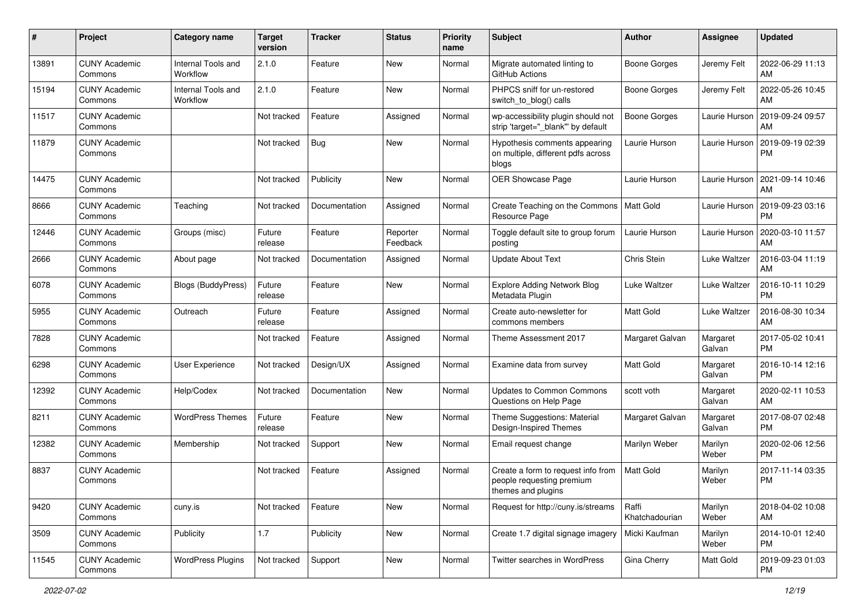| #     | Project                         | Category name                  | <b>Target</b><br>version | Tracker       | <b>Status</b>        | <b>Priority</b><br>name | Subject                                                                               | Author                    | <b>Assignee</b>     | <b>Updated</b>                |
|-------|---------------------------------|--------------------------------|--------------------------|---------------|----------------------|-------------------------|---------------------------------------------------------------------------------------|---------------------------|---------------------|-------------------------------|
| 13891 | <b>CUNY Academic</b><br>Commons | Internal Tools and<br>Workflow | 2.1.0                    | Feature       | <b>New</b>           | Normal                  | Migrate automated linting to<br>GitHub Actions                                        | Boone Gorges              | Jeremy Felt         | 2022-06-29 11:13<br>AM        |
| 15194 | <b>CUNY Academic</b><br>Commons | Internal Tools and<br>Workflow | 2.1.0                    | Feature       | New                  | Normal                  | PHPCS sniff for un-restored<br>switch to blog() calls                                 | <b>Boone Gorges</b>       | Jeremy Felt         | 2022-05-26 10:45<br>AM        |
| 11517 | <b>CUNY Academic</b><br>Commons |                                | Not tracked              | Feature       | Assigned             | Normal                  | wp-accessibility plugin should not<br>strip 'target=" blank" by default               | Boone Gorges              | Laurie Hurson       | 2019-09-24 09:57<br>AM        |
| 11879 | <b>CUNY Academic</b><br>Commons |                                | Not tracked              | Bug           | <b>New</b>           | Normal                  | Hypothesis comments appearing<br>on multiple, different pdfs across<br>blogs          | Laurie Hurson             | Laurie Hurson       | 2019-09-19 02:39<br><b>PM</b> |
| 14475 | <b>CUNY Academic</b><br>Commons |                                | Not tracked              | Publicity     | <b>New</b>           | Normal                  | OER Showcase Page                                                                     | Laurie Hurson             | Laurie Hurson       | 2021-09-14 10:46<br>AM        |
| 8666  | <b>CUNY Academic</b><br>Commons | Teaching                       | Not tracked              | Documentation | Assigned             | Normal                  | Create Teaching on the Commons   Matt Gold<br>Resource Page                           |                           | Laurie Hurson       | 2019-09-23 03:16<br><b>PM</b> |
| 12446 | <b>CUNY Academic</b><br>Commons | Groups (misc)                  | Future<br>release        | Feature       | Reporter<br>Feedback | Normal                  | Toggle default site to group forum<br>posting                                         | Laurie Hurson             | Laurie Hurson       | 2020-03-10 11:57<br>AM        |
| 2666  | <b>CUNY Academic</b><br>Commons | About page                     | Not tracked              | Documentation | Assigned             | Normal                  | <b>Update About Text</b>                                                              | Chris Stein               | Luke Waltzer        | 2016-03-04 11:19<br>AM        |
| 6078  | <b>CUNY Academic</b><br>Commons | Blogs (BuddyPress)             | Future<br>release        | Feature       | New                  | Normal                  | <b>Explore Adding Network Blog</b><br>Metadata Plugin                                 | Luke Waltzer              | Luke Waltzer        | 2016-10-11 10:29<br><b>PM</b> |
| 5955  | <b>CUNY Academic</b><br>Commons | Outreach                       | Future<br>release        | Feature       | Assigned             | Normal                  | Create auto-newsletter for<br>commons members                                         | <b>Matt Gold</b>          | <b>Luke Waltzer</b> | 2016-08-30 10:34<br>AM        |
| 7828  | <b>CUNY Academic</b><br>Commons |                                | Not tracked              | Feature       | Assigned             | Normal                  | Theme Assessment 2017                                                                 | Margaret Galvan           | Margaret<br>Galvan  | 2017-05-02 10:41<br><b>PM</b> |
| 6298  | <b>CUNY Academic</b><br>Commons | User Experience                | Not tracked              | Design/UX     | Assigned             | Normal                  | Examine data from survey                                                              | Matt Gold                 | Margaret<br>Galvan  | 2016-10-14 12:16<br><b>PM</b> |
| 12392 | <b>CUNY Academic</b><br>Commons | Help/Codex                     | Not tracked              | Documentation | <b>New</b>           | Normal                  | <b>Updates to Common Commons</b><br>Questions on Help Page                            | scott voth                | Margaret<br>Galvan  | 2020-02-11 10:53<br>AM        |
| 8211  | <b>CUNY Academic</b><br>Commons | <b>WordPress Themes</b>        | Future<br>release        | Feature       | <b>New</b>           | Normal                  | Theme Suggestions: Material<br>Design-Inspired Themes                                 | Margaret Galvan           | Margaret<br>Galvan  | 2017-08-07 02:48<br><b>PM</b> |
| 12382 | <b>CUNY Academic</b><br>Commons | Membership                     | Not tracked              | Support       | <b>New</b>           | Normal                  | Email request change                                                                  | Marilyn Weber             | Marilyn<br>Weber    | 2020-02-06 12:56<br><b>PM</b> |
| 8837  | <b>CUNY Academic</b><br>Commons |                                | Not tracked              | Feature       | Assigned             | Normal                  | Create a form to request info from<br>people requesting premium<br>themes and plugins | <b>Matt Gold</b>          | Marilyn<br>Weber    | 2017-11-14 03:35<br><b>PM</b> |
| 9420  | <b>CUNY Academic</b><br>Commons | cuny.is                        | Not tracked              | Feature       | New                  | Normal                  | Request for http://cuny.is/streams                                                    | l Raffi<br>Khatchadourian | Marilyn<br>Weber    | 2018-04-02 10:08<br>AM        |
| 3509  | <b>CUNY Academic</b><br>Commons | Publicity                      | 1.7                      | Publicity     | New                  | Normal                  | Create 1.7 digital signage imagery                                                    | Micki Kaufman             | Marilyn<br>Weber    | 2014-10-01 12:40<br><b>PM</b> |
| 11545 | <b>CUNY Academic</b><br>Commons | <b>WordPress Plugins</b>       | Not tracked              | Support       | New                  | Normal                  | Twitter searches in WordPress                                                         | Gina Cherry               | Matt Gold           | 2019-09-23 01:03<br><b>PM</b> |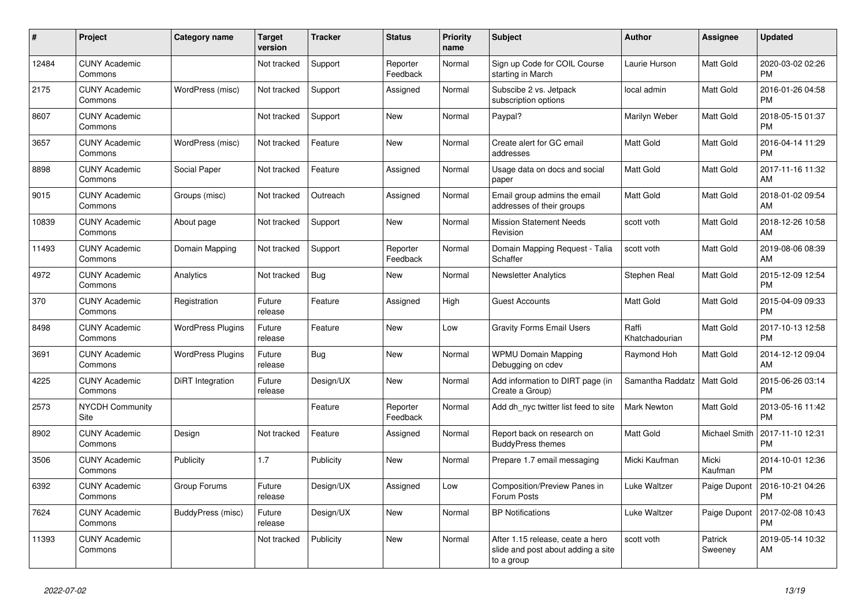| #     | <b>Project</b>                  | Category name            | <b>Target</b><br>version | <b>Tracker</b> | <b>Status</b>        | <b>Priority</b><br>name | <b>Subject</b>                                                                       | <b>Author</b>           | Assignee           | <b>Updated</b>                |
|-------|---------------------------------|--------------------------|--------------------------|----------------|----------------------|-------------------------|--------------------------------------------------------------------------------------|-------------------------|--------------------|-------------------------------|
| 12484 | <b>CUNY Academic</b><br>Commons |                          | Not tracked              | Support        | Reporter<br>Feedback | Normal                  | Sign up Code for COIL Course<br>starting in March                                    | Laurie Hurson           | Matt Gold          | 2020-03-02 02:26<br><b>PM</b> |
| 2175  | <b>CUNY Academic</b><br>Commons | WordPress (misc)         | Not tracked              | Support        | Assigned             | Normal                  | Subscibe 2 vs. Jetpack<br>subscription options                                       | local admin             | Matt Gold          | 2016-01-26 04:58<br><b>PM</b> |
| 8607  | <b>CUNY Academic</b><br>Commons |                          | Not tracked              | Support        | New                  | Normal                  | Paypal?                                                                              | Marilyn Weber           | Matt Gold          | 2018-05-15 01:37<br><b>PM</b> |
| 3657  | <b>CUNY Academic</b><br>Commons | WordPress (misc)         | Not tracked              | Feature        | <b>New</b>           | Normal                  | Create alert for GC email<br>addresses                                               | Matt Gold               | Matt Gold          | 2016-04-14 11:29<br><b>PM</b> |
| 8898  | <b>CUNY Academic</b><br>Commons | Social Paper             | Not tracked              | Feature        | Assigned             | Normal                  | Usage data on docs and social<br>paper                                               | <b>Matt Gold</b>        | Matt Gold          | 2017-11-16 11:32<br>AM        |
| 9015  | <b>CUNY Academic</b><br>Commons | Groups (misc)            | Not tracked              | Outreach       | Assigned             | Normal                  | Email group admins the email<br>addresses of their groups                            | <b>Matt Gold</b>        | Matt Gold          | 2018-01-02 09:54<br>AM        |
| 10839 | <b>CUNY Academic</b><br>Commons | About page               | Not tracked              | Support        | <b>New</b>           | Normal                  | <b>Mission Statement Needs</b><br>Revision                                           | scott voth              | Matt Gold          | 2018-12-26 10:58<br>AM        |
| 11493 | <b>CUNY Academic</b><br>Commons | Domain Mapping           | Not tracked              | Support        | Reporter<br>Feedback | Normal                  | Domain Mapping Request - Talia<br>Schaffer                                           | scott voth              | Matt Gold          | 2019-08-06 08:39<br>AM        |
| 4972  | <b>CUNY Academic</b><br>Commons | Analytics                | Not tracked              | <b>Bug</b>     | New                  | Normal                  | <b>Newsletter Analytics</b>                                                          | Stephen Real            | Matt Gold          | 2015-12-09 12:54<br><b>PM</b> |
| 370   | <b>CUNY Academic</b><br>Commons | Registration             | Future<br>release        | Feature        | Assigned             | High                    | <b>Guest Accounts</b>                                                                | Matt Gold               | Matt Gold          | 2015-04-09 09:33<br><b>PM</b> |
| 8498  | <b>CUNY Academic</b><br>Commons | <b>WordPress Plugins</b> | Future<br>release        | Feature        | <b>New</b>           | Low                     | <b>Gravity Forms Email Users</b>                                                     | Raffi<br>Khatchadourian | Matt Gold          | 2017-10-13 12:58<br><b>PM</b> |
| 3691  | <b>CUNY Academic</b><br>Commons | <b>WordPress Plugins</b> | Future<br>release        | Bug            | New                  | Normal                  | <b>WPMU Domain Mapping</b><br>Debugging on cdev                                      | Raymond Hoh             | Matt Gold          | 2014-12-12 09:04<br>AM        |
| 4225  | <b>CUNY Academic</b><br>Commons | DiRT Integration         | Future<br>release        | Design/UX      | New                  | Normal                  | Add information to DIRT page (in<br>Create a Group)                                  | Samantha Raddatz        | Matt Gold          | 2015-06-26 03:14<br><b>PM</b> |
| 2573  | <b>NYCDH Community</b><br>Site  |                          |                          | Feature        | Reporter<br>Feedback | Normal                  | Add dh_nyc twitter list feed to site                                                 | <b>Mark Newton</b>      | Matt Gold          | 2013-05-16 11:42<br><b>PM</b> |
| 8902  | <b>CUNY Academic</b><br>Commons | Design                   | Not tracked              | Feature        | Assigned             | Normal                  | Report back on research on<br><b>BuddyPress themes</b>                               | <b>Matt Gold</b>        | Michael Smith      | 2017-11-10 12:31<br><b>PM</b> |
| 3506  | <b>CUNY Academic</b><br>Commons | Publicity                | 1.7                      | Publicity      | New                  | Normal                  | Prepare 1.7 email messaging                                                          | Micki Kaufman           | Micki<br>Kaufman   | 2014-10-01 12:36<br><b>PM</b> |
| 6392  | <b>CUNY Academic</b><br>Commons | Group Forums             | Future<br>release        | Design/UX      | Assigned             | Low                     | Composition/Preview Panes in<br>Forum Posts                                          | Luke Waltzer            | Paige Dupont       | 2016-10-21 04:26<br><b>PM</b> |
| 7624  | <b>CUNY Academic</b><br>Commons | BuddyPress (misc)        | Future<br>release        | Design/UX      | <b>New</b>           | Normal                  | <b>BP Notifications</b>                                                              | Luke Waltzer            | Paige Dupont       | 2017-02-08 10:43<br><b>PM</b> |
| 11393 | <b>CUNY Academic</b><br>Commons |                          | Not tracked              | Publicity      | <b>New</b>           | Normal                  | After 1.15 release, ceate a hero<br>slide and post about adding a site<br>to a group | scott voth              | Patrick<br>Sweeney | 2019-05-14 10:32<br>AM        |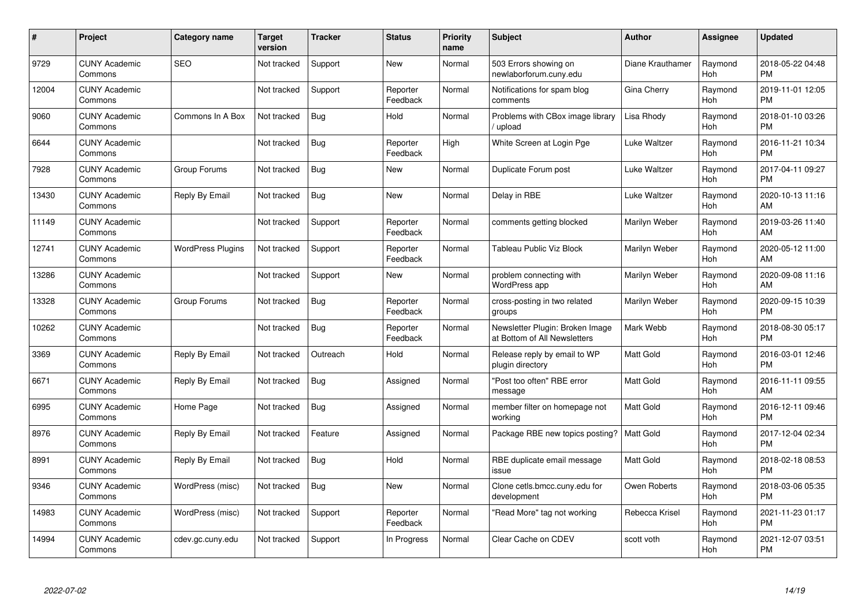| #     | Project                         | <b>Category name</b>     | <b>Target</b><br>version | <b>Tracker</b> | <b>Status</b>        | <b>Priority</b><br>name | <b>Subject</b>                                                  | <b>Author</b>    | <b>Assignee</b> | <b>Updated</b>                |
|-------|---------------------------------|--------------------------|--------------------------|----------------|----------------------|-------------------------|-----------------------------------------------------------------|------------------|-----------------|-------------------------------|
| 9729  | <b>CUNY Academic</b><br>Commons | <b>SEO</b>               | Not tracked              | Support        | <b>New</b>           | Normal                  | 503 Errors showing on<br>newlaborforum.cuny.edu                 | Diane Krauthamer | Raymond<br>Hoh  | 2018-05-22 04:48<br><b>PM</b> |
| 12004 | <b>CUNY Academic</b><br>Commons |                          | Not tracked              | Support        | Reporter<br>Feedback | Normal                  | Notifications for spam blog<br>comments                         | Gina Cherry      | Raymond<br>Hoh  | 2019-11-01 12:05<br><b>PM</b> |
| 9060  | <b>CUNY Academic</b><br>Commons | Commons In A Box         | Not tracked              | Bug            | Hold                 | Normal                  | Problems with CBox image library<br>/ upload                    | Lisa Rhody       | Raymond<br>Hoh  | 2018-01-10 03:26<br><b>PM</b> |
| 6644  | <b>CUNY Academic</b><br>Commons |                          | Not tracked              | <b>Bug</b>     | Reporter<br>Feedback | High                    | White Screen at Login Pge                                       | Luke Waltzer     | Raymond<br>Hoh  | 2016-11-21 10:34<br><b>PM</b> |
| 7928  | <b>CUNY Academic</b><br>Commons | Group Forums             | Not tracked              | Bug            | <b>New</b>           | Normal                  | Duplicate Forum post                                            | Luke Waltzer     | Raymond<br>Hoh  | 2017-04-11 09:27<br><b>PM</b> |
| 13430 | <b>CUNY Academic</b><br>Commons | Reply By Email           | Not tracked              | Bug            | <b>New</b>           | Normal                  | Delay in RBE                                                    | Luke Waltzer     | Raymond<br>Hoh  | 2020-10-13 11:16<br>AM        |
| 11149 | <b>CUNY Academic</b><br>Commons |                          | Not tracked              | Support        | Reporter<br>Feedback | Normal                  | comments getting blocked                                        | Marilyn Weber    | Raymond<br>Hoh  | 2019-03-26 11:40<br>AM        |
| 12741 | <b>CUNY Academic</b><br>Commons | <b>WordPress Plugins</b> | Not tracked              | Support        | Reporter<br>Feedback | Normal                  | Tableau Public Viz Block                                        | Marilyn Weber    | Raymond<br>Hoh  | 2020-05-12 11:00<br>AM        |
| 13286 | <b>CUNY Academic</b><br>Commons |                          | Not tracked              | Support        | New                  | Normal                  | problem connecting with<br>WordPress app                        | Marilyn Weber    | Raymond<br>Hoh  | 2020-09-08 11:16<br>AM        |
| 13328 | <b>CUNY Academic</b><br>Commons | Group Forums             | Not tracked              | Bug            | Reporter<br>Feedback | Normal                  | cross-posting in two related<br>groups                          | Marilyn Weber    | Raymond<br>Hoh  | 2020-09-15 10:39<br><b>PM</b> |
| 10262 | <b>CUNY Academic</b><br>Commons |                          | Not tracked              | <b>Bug</b>     | Reporter<br>Feedback | Normal                  | Newsletter Plugin: Broken Image<br>at Bottom of All Newsletters | Mark Webb        | Raymond<br>Hoh  | 2018-08-30 05:17<br><b>PM</b> |
| 3369  | <b>CUNY Academic</b><br>Commons | Reply By Email           | Not tracked              | Outreach       | Hold                 | Normal                  | Release reply by email to WP<br>plugin directory                | Matt Gold        | Raymond<br>Hoh  | 2016-03-01 12:46<br><b>PM</b> |
| 6671  | <b>CUNY Academic</b><br>Commons | Reply By Email           | Not tracked              | Bug            | Assigned             | Normal                  | "Post too often" RBE error<br>message                           | <b>Matt Gold</b> | Raymond<br>Hoh  | 2016-11-11 09:55<br>AM        |
| 6995  | <b>CUNY Academic</b><br>Commons | Home Page                | Not tracked              | Bug            | Assigned             | Normal                  | member filter on homepage not<br>working                        | <b>Matt Gold</b> | Raymond<br>Hoh  | 2016-12-11 09:46<br><b>PM</b> |
| 8976  | <b>CUNY Academic</b><br>Commons | Reply By Email           | Not tracked              | Feature        | Assigned             | Normal                  | Package RBE new topics posting?                                 | Matt Gold        | Raymond<br>Hoh  | 2017-12-04 02:34<br><b>PM</b> |
| 8991  | <b>CUNY Academic</b><br>Commons | Reply By Email           | Not tracked              | <b>Bug</b>     | Hold                 | Normal                  | RBE duplicate email message<br>issue                            | Matt Gold        | Raymond<br>Hoh  | 2018-02-18 08:53<br><b>PM</b> |
| 9346  | <b>CUNY Academic</b><br>Commons | WordPress (misc)         | Not tracked              | Bug            | New                  | Normal                  | Clone cetls.bmcc.cuny.edu for<br>development                    | Owen Roberts     | Raymond<br>Hoh  | 2018-03-06 05:35<br><b>PM</b> |
| 14983 | <b>CUNY Academic</b><br>Commons | WordPress (misc)         | Not tracked              | Support        | Reporter<br>Feedback | Normal                  | "Read More" tag not working                                     | Rebecca Krisel   | Raymond<br>Hoh  | 2021-11-23 01:17<br><b>PM</b> |
| 14994 | <b>CUNY Academic</b><br>Commons | cdev.gc.cuny.edu         | Not tracked              | Support        | In Progress          | Normal                  | Clear Cache on CDEV                                             | scott voth       | Raymond<br>Hoh  | 2021-12-07 03:51<br><b>PM</b> |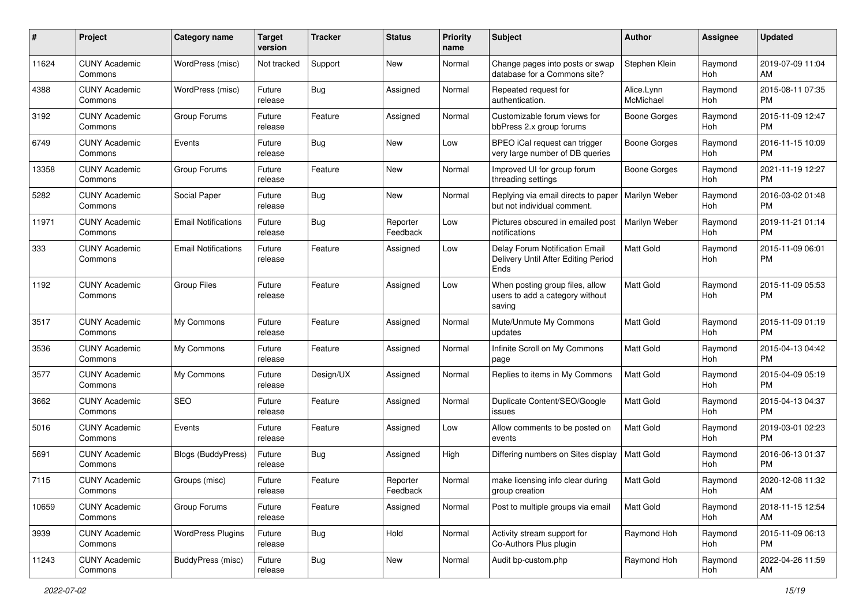| #     | Project                         | <b>Category name</b>       | <b>Target</b><br>version | <b>Tracker</b> | <b>Status</b>        | <b>Priority</b><br>name | <b>Subject</b>                                                                | Author                  | <b>Assignee</b> | <b>Updated</b>                |
|-------|---------------------------------|----------------------------|--------------------------|----------------|----------------------|-------------------------|-------------------------------------------------------------------------------|-------------------------|-----------------|-------------------------------|
| 11624 | <b>CUNY Academic</b><br>Commons | WordPress (misc)           | Not tracked              | Support        | New                  | Normal                  | Change pages into posts or swap<br>database for a Commons site?               | Stephen Klein           | Raymond<br>Hoh  | 2019-07-09 11:04<br>AM        |
| 4388  | <b>CUNY Academic</b><br>Commons | WordPress (misc)           | Future<br>release        | <b>Bug</b>     | Assigned             | Normal                  | Repeated request for<br>authentication.                                       | Alice.Lynn<br>McMichael | Raymond<br>Hoh  | 2015-08-11 07:35<br><b>PM</b> |
| 3192  | <b>CUNY Academic</b><br>Commons | Group Forums               | Future<br>release        | Feature        | Assigned             | Normal                  | Customizable forum views for<br>bbPress 2.x group forums                      | Boone Gorges            | Raymond<br>Hoh  | 2015-11-09 12:47<br><b>PM</b> |
| 6749  | <b>CUNY Academic</b><br>Commons | Events                     | Future<br>release        | Bug            | New                  | Low                     | BPEO iCal request can trigger<br>very large number of DB queries              | Boone Gorges            | Raymond<br>Hoh  | 2016-11-15 10:09<br><b>PM</b> |
| 13358 | <b>CUNY Academic</b><br>Commons | Group Forums               | Future<br>release        | Feature        | New                  | Normal                  | Improved UI for group forum<br>threading settings                             | Boone Gorges            | Raymond<br>Hoh  | 2021-11-19 12:27<br><b>PM</b> |
| 5282  | <b>CUNY Academic</b><br>Commons | Social Paper               | Future<br>release        | Bug            | New                  | Normal                  | Replying via email directs to paper<br>but not individual comment.            | Marilyn Weber           | Raymond<br>Hoh  | 2016-03-02 01:48<br><b>PM</b> |
| 11971 | <b>CUNY Academic</b><br>Commons | <b>Email Notifications</b> | Future<br>release        | Bug            | Reporter<br>Feedback | Low                     | Pictures obscured in emailed post<br>notifications                            | Marilyn Weber           | Raymond<br>Hoh  | 2019-11-21 01:14<br>PM.       |
| 333   | <b>CUNY Academic</b><br>Commons | <b>Email Notifications</b> | Future<br>release        | Feature        | Assigned             | Low                     | Delay Forum Notification Email<br>Delivery Until After Editing Period<br>Ends | <b>Matt Gold</b>        | Raymond<br>Hoh  | 2015-11-09 06:01<br>PM.       |
| 1192  | <b>CUNY Academic</b><br>Commons | <b>Group Files</b>         | Future<br>release        | Feature        | Assigned             | Low                     | When posting group files, allow<br>users to add a category without<br>saving  | <b>Matt Gold</b>        | Raymond<br>Hoh  | 2015-11-09 05:53<br>PM.       |
| 3517  | <b>CUNY Academic</b><br>Commons | My Commons                 | Future<br>release        | Feature        | Assigned             | Normal                  | Mute/Unmute My Commons<br>updates                                             | <b>Matt Gold</b>        | Raymond<br>Hoh  | 2015-11-09 01:19<br><b>PM</b> |
| 3536  | <b>CUNY Academic</b><br>Commons | My Commons                 | Future<br>release        | Feature        | Assigned             | Normal                  | Infinite Scroll on My Commons<br>page                                         | <b>Matt Gold</b>        | Raymond<br>Hoh  | 2015-04-13 04:42<br><b>PM</b> |
| 3577  | <b>CUNY Academic</b><br>Commons | My Commons                 | Future<br>release        | Design/UX      | Assigned             | Normal                  | Replies to items in My Commons                                                | <b>Matt Gold</b>        | Raymond<br>Hoh  | 2015-04-09 05:19<br><b>PM</b> |
| 3662  | <b>CUNY Academic</b><br>Commons | SEO                        | Future<br>release        | Feature        | Assigned             | Normal                  | Duplicate Content/SEO/Google<br>issues                                        | <b>Matt Gold</b>        | Raymond<br>Hoh  | 2015-04-13 04:37<br>PM.       |
| 5016  | <b>CUNY Academic</b><br>Commons | Events                     | Future<br>release        | Feature        | Assigned             | Low                     | Allow comments to be posted on<br>events                                      | <b>Matt Gold</b>        | Raymond<br>Hoh  | 2019-03-01 02:23<br><b>PM</b> |
| 5691  | <b>CUNY Academic</b><br>Commons | <b>Blogs (BuddyPress)</b>  | Future<br>release        | Bug            | Assigned             | High                    | Differing numbers on Sites display                                            | Matt Gold               | Raymond<br>Hoh  | 2016-06-13 01:37<br><b>PM</b> |
| 7115  | <b>CUNY Academic</b><br>Commons | Groups (misc)              | Future<br>release        | Feature        | Reporter<br>Feedback | Normal                  | make licensing info clear during<br>group creation                            | Matt Gold               | Raymond<br>Hoh  | 2020-12-08 11:32<br>AM        |
| 10659 | <b>CUNY Academic</b><br>Commons | Group Forums               | Future<br>release        | Feature        | Assigned             | Normal                  | Post to multiple groups via email                                             | <b>Matt Gold</b>        | Raymond<br>Hoh  | 2018-11-15 12:54<br>AM        |
| 3939  | <b>CUNY Academic</b><br>Commons | <b>WordPress Plugins</b>   | Future<br>release        | <b>Bug</b>     | Hold                 | Normal                  | Activity stream support for<br>Co-Authors Plus plugin                         | Raymond Hoh             | Raymond<br>Hoh  | 2015-11-09 06:13<br><b>PM</b> |
| 11243 | <b>CUNY Academic</b><br>Commons | BuddyPress (misc)          | Future<br>release        | Bug            | New                  | Normal                  | Audit bp-custom.php                                                           | Raymond Hoh             | Raymond<br>Hoh  | 2022-04-26 11:59<br>AM        |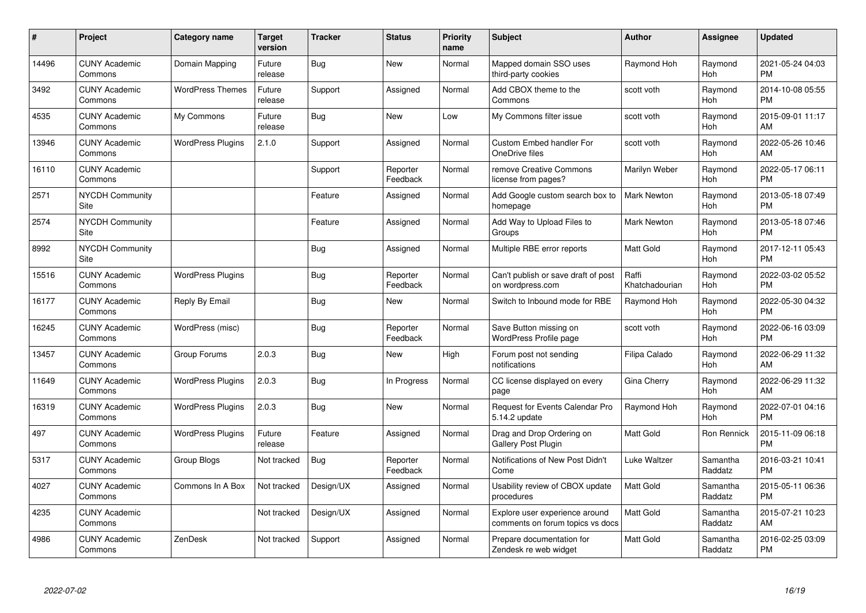| #     | Project                         | <b>Category name</b>     | <b>Target</b><br>version | <b>Tracker</b> | <b>Status</b>        | <b>Priority</b><br>name | <b>Subject</b>                                                     | <b>Author</b>           | <b>Assignee</b>     | <b>Updated</b>                |
|-------|---------------------------------|--------------------------|--------------------------|----------------|----------------------|-------------------------|--------------------------------------------------------------------|-------------------------|---------------------|-------------------------------|
| 14496 | <b>CUNY Academic</b><br>Commons | Domain Mapping           | Future<br>release        | Bug            | <b>New</b>           | Normal                  | Mapped domain SSO uses<br>third-party cookies                      | Raymond Hoh             | Raymond<br>Hoh      | 2021-05-24 04:03<br><b>PM</b> |
| 3492  | <b>CUNY Academic</b><br>Commons | <b>WordPress Themes</b>  | Future<br>release        | Support        | Assigned             | Normal                  | Add CBOX theme to the<br>Commons                                   | scott voth              | Raymond<br>Hoh      | 2014-10-08 05:55<br><b>PM</b> |
| 4535  | <b>CUNY Academic</b><br>Commons | My Commons               | Future<br>release        | Bug            | <b>New</b>           | Low                     | My Commons filter issue                                            | scott voth              | Raymond<br>Hoh      | 2015-09-01 11:17<br>AM        |
| 13946 | <b>CUNY Academic</b><br>Commons | <b>WordPress Plugins</b> | 2.1.0                    | Support        | Assigned             | Normal                  | <b>Custom Embed handler For</b><br>OneDrive files                  | scott voth              | Raymond<br>Hoh      | 2022-05-26 10:46<br>AM        |
| 16110 | <b>CUNY Academic</b><br>Commons |                          |                          | Support        | Reporter<br>Feedback | Normal                  | remove Creative Commons<br>license from pages?                     | Marilyn Weber           | Raymond<br>Hoh      | 2022-05-17 06:11<br><b>PM</b> |
| 2571  | NYCDH Community<br>Site         |                          |                          | Feature        | Assigned             | Normal                  | Add Google custom search box to<br>homepage                        | <b>Mark Newton</b>      | Raymond<br>Hoh      | 2013-05-18 07:49<br><b>PM</b> |
| 2574  | NYCDH Community<br>Site         |                          |                          | Feature        | Assigned             | Normal                  | Add Way to Upload Files to<br>Groups                               | Mark Newton             | Raymond<br>Hoh      | 2013-05-18 07:46<br><b>PM</b> |
| 8992  | <b>NYCDH Community</b><br>Site  |                          |                          | Bug            | Assigned             | Normal                  | Multiple RBE error reports                                         | Matt Gold               | Raymond<br>Hoh      | 2017-12-11 05:43<br><b>PM</b> |
| 15516 | <b>CUNY Academic</b><br>Commons | <b>WordPress Plugins</b> |                          | <b>Bug</b>     | Reporter<br>Feedback | Normal                  | Can't publish or save draft of post<br>on wordpress.com            | Raffi<br>Khatchadourian | Raymond<br>Hoh      | 2022-03-02 05:52<br><b>PM</b> |
| 16177 | <b>CUNY Academic</b><br>Commons | Reply By Email           |                          | <b>Bug</b>     | <b>New</b>           | Normal                  | Switch to Inbound mode for RBE                                     | Raymond Hoh             | Raymond<br>Hoh      | 2022-05-30 04:32<br><b>PM</b> |
| 16245 | <b>CUNY Academic</b><br>Commons | WordPress (misc)         |                          | Bug            | Reporter<br>Feedback | Normal                  | Save Button missing on<br>WordPress Profile page                   | scott voth              | Raymond<br>Hoh      | 2022-06-16 03:09<br><b>PM</b> |
| 13457 | <b>CUNY Academic</b><br>Commons | Group Forums             | 2.0.3                    | Bug            | <b>New</b>           | High                    | Forum post not sending<br>notifications                            | Filipa Calado           | Raymond<br>Hoh      | 2022-06-29 11:32<br>AM        |
| 11649 | <b>CUNY Academic</b><br>Commons | <b>WordPress Plugins</b> | 2.0.3                    | Bug            | In Progress          | Normal                  | CC license displayed on every<br>page                              | Gina Cherry             | Raymond<br>Hoh      | 2022-06-29 11:32<br>AM        |
| 16319 | <b>CUNY Academic</b><br>Commons | <b>WordPress Plugins</b> | 2.0.3                    | Bug            | <b>New</b>           | Normal                  | Request for Events Calendar Pro<br>5.14.2 update                   | Raymond Hoh             | Raymond<br>Hoh      | 2022-07-01 04:16<br><b>PM</b> |
| 497   | <b>CUNY Academic</b><br>Commons | <b>WordPress Plugins</b> | Future<br>release        | Feature        | Assigned             | Normal                  | Drag and Drop Ordering on<br>Gallery Post Plugin                   | <b>Matt Gold</b>        | Ron Rennick         | 2015-11-09 06:18<br><b>PM</b> |
| 5317  | <b>CUNY Academic</b><br>Commons | Group Blogs              | Not tracked              | <b>Bug</b>     | Reporter<br>Feedback | Normal                  | Notifications of New Post Didn't<br>Come                           | Luke Waltzer            | Samantha<br>Raddatz | 2016-03-21 10:41<br><b>PM</b> |
| 4027  | <b>CUNY Academic</b><br>Commons | Commons In A Box         | Not tracked              | Design/UX      | Assigned             | Normal                  | Usability review of CBOX update<br>procedures                      | <b>Matt Gold</b>        | Samantha<br>Raddatz | 2015-05-11 06:36<br><b>PM</b> |
| 4235  | <b>CUNY Academic</b><br>Commons |                          | Not tracked              | Design/UX      | Assigned             | Normal                  | Explore user experience around<br>comments on forum topics vs docs | <b>Matt Gold</b>        | Samantha<br>Raddatz | 2015-07-21 10:23<br>AM        |
| 4986  | <b>CUNY Academic</b><br>Commons | ZenDesk                  | Not tracked              | Support        | Assigned             | Normal                  | Prepare documentation for<br>Zendesk re web widget                 | <b>Matt Gold</b>        | Samantha<br>Raddatz | 2016-02-25 03:09<br><b>PM</b> |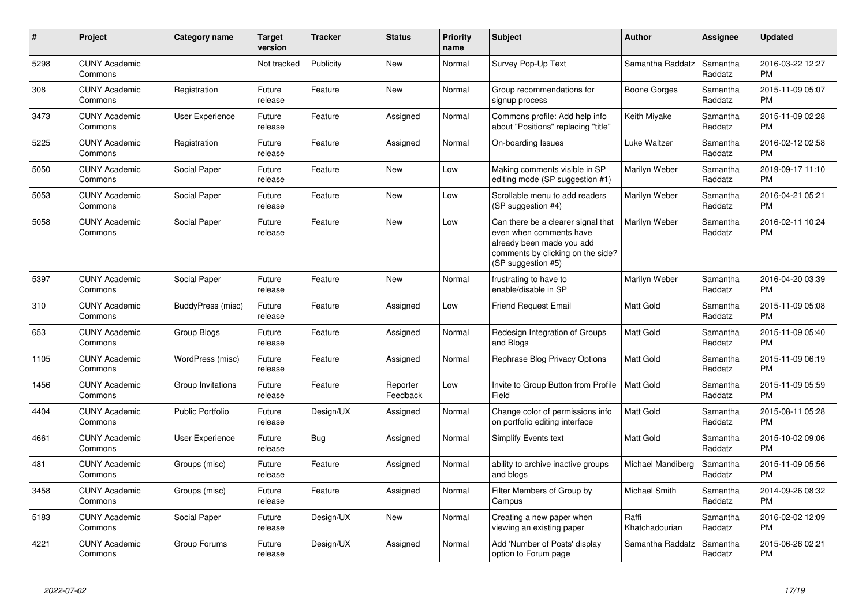| #    | Project                         | <b>Category name</b>    | <b>Target</b><br>version | <b>Tracker</b> | <b>Status</b>        | <b>Priority</b><br>name | <b>Subject</b>                                                                                                                                        | <b>Author</b>           | <b>Assignee</b>     | <b>Updated</b>                |
|------|---------------------------------|-------------------------|--------------------------|----------------|----------------------|-------------------------|-------------------------------------------------------------------------------------------------------------------------------------------------------|-------------------------|---------------------|-------------------------------|
| 5298 | <b>CUNY Academic</b><br>Commons |                         | Not tracked              | Publicity      | <b>New</b>           | Normal                  | Survey Pop-Up Text                                                                                                                                    | Samantha Raddatz        | Samantha<br>Raddatz | 2016-03-22 12:27<br><b>PM</b> |
| 308  | <b>CUNY Academic</b><br>Commons | Registration            | Future<br>release        | Feature        | <b>New</b>           | Normal                  | Group recommendations for<br>signup process                                                                                                           | Boone Gorges            | Samantha<br>Raddatz | 2015-11-09 05:07<br><b>PM</b> |
| 3473 | <b>CUNY Academic</b><br>Commons | User Experience         | Future<br>release        | Feature        | Assigned             | Normal                  | Commons profile: Add help info<br>about "Positions" replacing "title"                                                                                 | Keith Miyake            | Samantha<br>Raddatz | 2015-11-09 02:28<br><b>PM</b> |
| 5225 | <b>CUNY Academic</b><br>Commons | Registration            | Future<br>release        | Feature        | Assigned             | Normal                  | On-boarding Issues                                                                                                                                    | Luke Waltzer            | Samantha<br>Raddatz | 2016-02-12 02:58<br><b>PM</b> |
| 5050 | <b>CUNY Academic</b><br>Commons | Social Paper            | Future<br>release        | Feature        | New                  | Low                     | Making comments visible in SP<br>editing mode (SP suggestion #1)                                                                                      | Marilyn Weber           | Samantha<br>Raddatz | 2019-09-17 11:10<br><b>PM</b> |
| 5053 | <b>CUNY Academic</b><br>Commons | Social Paper            | Future<br>release        | Feature        | New                  | Low                     | Scrollable menu to add readers<br>(SP suggestion #4)                                                                                                  | Marilyn Weber           | Samantha<br>Raddatz | 2016-04-21 05:21<br><b>PM</b> |
| 5058 | <b>CUNY Academic</b><br>Commons | Social Paper            | Future<br>release        | Feature        | <b>New</b>           | Low                     | Can there be a clearer signal that<br>even when comments have<br>already been made you add<br>comments by clicking on the side?<br>(SP suggestion #5) | Marilyn Weber           | Samantha<br>Raddatz | 2016-02-11 10:24<br><b>PM</b> |
| 5397 | <b>CUNY Academic</b><br>Commons | Social Paper            | Future<br>release        | Feature        | New                  | Normal                  | frustrating to have to<br>enable/disable in SP                                                                                                        | Marilyn Weber           | Samantha<br>Raddatz | 2016-04-20 03:39<br><b>PM</b> |
| 310  | <b>CUNY Academic</b><br>Commons | BuddyPress (misc)       | Future<br>release        | Feature        | Assigned             | Low                     | <b>Friend Request Email</b>                                                                                                                           | <b>Matt Gold</b>        | Samantha<br>Raddatz | 2015-11-09 05:08<br><b>PM</b> |
| 653  | <b>CUNY Academic</b><br>Commons | Group Blogs             | Future<br>release        | Feature        | Assigned             | Normal                  | Redesign Integration of Groups<br>and Blogs                                                                                                           | Matt Gold               | Samantha<br>Raddatz | 2015-11-09 05:40<br><b>PM</b> |
| 1105 | <b>CUNY Academic</b><br>Commons | WordPress (misc)        | Future<br>release        | Feature        | Assigned             | Normal                  | Rephrase Blog Privacy Options                                                                                                                         | <b>Matt Gold</b>        | Samantha<br>Raddatz | 2015-11-09 06:19<br><b>PM</b> |
| 1456 | <b>CUNY Academic</b><br>Commons | Group Invitations       | Future<br>release        | Feature        | Reporter<br>Feedback | Low                     | Invite to Group Button from Profile<br>Field                                                                                                          | <b>Matt Gold</b>        | Samantha<br>Raddatz | 2015-11-09 05:59<br><b>PM</b> |
| 4404 | <b>CUNY Academic</b><br>Commons | <b>Public Portfolio</b> | Future<br>release        | Design/UX      | Assigned             | Normal                  | Change color of permissions info<br>on portfolio editing interface                                                                                    | <b>Matt Gold</b>        | Samantha<br>Raddatz | 2015-08-11 05:28<br><b>PM</b> |
| 4661 | <b>CUNY Academic</b><br>Commons | <b>User Experience</b>  | Future<br>release        | Bug            | Assigned             | Normal                  | <b>Simplify Events text</b>                                                                                                                           | <b>Matt Gold</b>        | Samantha<br>Raddatz | 2015-10-02 09:06<br><b>PM</b> |
| 481  | <b>CUNY Academic</b><br>Commons | Groups (misc)           | Future<br>release        | Feature        | Assigned             | Normal                  | ability to archive inactive groups<br>and blogs                                                                                                       | Michael Mandiberg       | Samantha<br>Raddatz | 2015-11-09 05:56<br><b>PM</b> |
| 3458 | <b>CUNY Academic</b><br>Commons | Groups (misc)           | Future<br>release        | Feature        | Assigned             | Normal                  | Filter Members of Group by<br>Campus                                                                                                                  | Michael Smith           | Samantha<br>Raddatz | 2014-09-26 08:32<br><b>PM</b> |
| 5183 | <b>CUNY Academic</b><br>Commons | Social Paper            | Future<br>release        | Design/UX      | New                  | Normal                  | Creating a new paper when<br>viewing an existing paper                                                                                                | Raffi<br>Khatchadourian | Samantha<br>Raddatz | 2016-02-02 12:09<br><b>PM</b> |
| 4221 | <b>CUNY Academic</b><br>Commons | Group Forums            | Future<br>release        | Design/UX      | Assigned             | Normal                  | Add 'Number of Posts' display<br>option to Forum page                                                                                                 | Samantha Raddatz        | Samantha<br>Raddatz | 2015-06-26 02:21<br><b>PM</b> |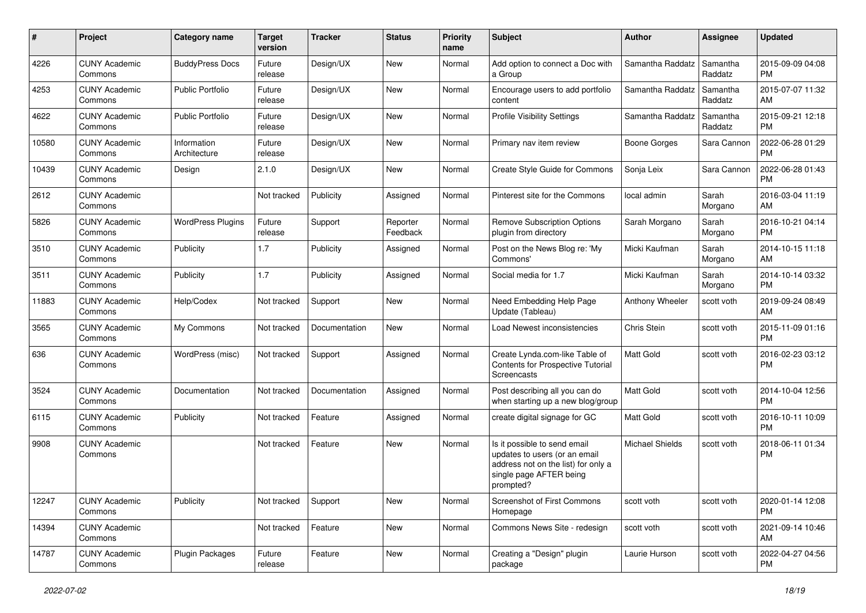| #     | Project                         | <b>Category name</b>        | <b>Target</b><br>version | <b>Tracker</b> | <b>Status</b>        | <b>Priority</b><br>name | <b>Subject</b>                                                                                                                               | Author                 | Assignee            | <b>Updated</b>                |
|-------|---------------------------------|-----------------------------|--------------------------|----------------|----------------------|-------------------------|----------------------------------------------------------------------------------------------------------------------------------------------|------------------------|---------------------|-------------------------------|
| 4226  | <b>CUNY Academic</b><br>Commons | <b>BuddyPress Docs</b>      | Future<br>release        | Design/UX      | New                  | Normal                  | Add option to connect a Doc with<br>a Group                                                                                                  | Samantha Raddatz       | Samantha<br>Raddatz | 2015-09-09 04:08<br><b>PM</b> |
| 4253  | <b>CUNY Academic</b><br>Commons | <b>Public Portfolio</b>     | Future<br>release        | Design/UX      | New                  | Normal                  | Encourage users to add portfolio<br>content                                                                                                  | Samantha Raddatz       | Samantha<br>Raddatz | 2015-07-07 11:32<br>AM        |
| 4622  | <b>CUNY Academic</b><br>Commons | <b>Public Portfolio</b>     | Future<br>release        | Design/UX      | New                  | Normal                  | <b>Profile Visibility Settings</b>                                                                                                           | Samantha Raddatz       | Samantha<br>Raddatz | 2015-09-21 12:18<br><b>PM</b> |
| 10580 | <b>CUNY Academic</b><br>Commons | Information<br>Architecture | Future<br>release        | Design/UX      | New                  | Normal                  | Primary nav item review                                                                                                                      | Boone Gorges           | Sara Cannon         | 2022-06-28 01:29<br><b>PM</b> |
| 10439 | <b>CUNY Academic</b><br>Commons | Design                      | 2.1.0                    | Design/UX      | New                  | Normal                  | Create Style Guide for Commons                                                                                                               | Sonja Leix             | Sara Cannon         | 2022-06-28 01:43<br><b>PM</b> |
| 2612  | <b>CUNY Academic</b><br>Commons |                             | Not tracked              | Publicity      | Assigned             | Normal                  | Pinterest site for the Commons                                                                                                               | local admin            | Sarah<br>Morgano    | 2016-03-04 11:19<br>AM        |
| 5826  | <b>CUNY Academic</b><br>Commons | <b>WordPress Plugins</b>    | Future<br>release        | Support        | Reporter<br>Feedback | Normal                  | Remove Subscription Options<br>plugin from directory                                                                                         | Sarah Morgano          | Sarah<br>Morgano    | 2016-10-21 04:14<br><b>PM</b> |
| 3510  | <b>CUNY Academic</b><br>Commons | Publicity                   | 1.7                      | Publicity      | Assigned             | Normal                  | Post on the News Blog re: 'My<br>Commons'                                                                                                    | Micki Kaufman          | Sarah<br>Morgano    | 2014-10-15 11:18<br>AM        |
| 3511  | <b>CUNY Academic</b><br>Commons | Publicity                   | 1.7                      | Publicity      | Assigned             | Normal                  | Social media for 1.7                                                                                                                         | Micki Kaufman          | Sarah<br>Morgano    | 2014-10-14 03:32<br><b>PM</b> |
| 11883 | <b>CUNY Academic</b><br>Commons | Help/Codex                  | Not tracked              | Support        | New                  | Normal                  | Need Embedding Help Page<br>Update (Tableau)                                                                                                 | Anthony Wheeler        | scott voth          | 2019-09-24 08:49<br>AM        |
| 3565  | <b>CUNY Academic</b><br>Commons | My Commons                  | Not tracked              | Documentation  | New                  | Normal                  | Load Newest inconsistencies                                                                                                                  | Chris Stein            | scott voth          | 2015-11-09 01:16<br><b>PM</b> |
| 636   | <b>CUNY Academic</b><br>Commons | WordPress (misc)            | Not tracked              | Support        | Assigned             | Normal                  | Create Lynda.com-like Table of<br>Contents for Prospective Tutorial<br>Screencasts                                                           | <b>Matt Gold</b>       | scott voth          | 2016-02-23 03:12<br><b>PM</b> |
| 3524  | <b>CUNY Academic</b><br>Commons | Documentation               | Not tracked              | Documentation  | Assigned             | Normal                  | Post describing all you can do<br>when starting up a new blog/group                                                                          | <b>Matt Gold</b>       | scott voth          | 2014-10-04 12:56<br><b>PM</b> |
| 6115  | <b>CUNY Academic</b><br>Commons | Publicity                   | Not tracked              | Feature        | Assigned             | Normal                  | create digital signage for GC                                                                                                                | Matt Gold              | scott voth          | 2016-10-11 10:09<br><b>PM</b> |
| 9908  | <b>CUNY Academic</b><br>Commons |                             | Not tracked              | Feature        | New                  | Normal                  | Is it possible to send email<br>updates to users (or an email<br>address not on the list) for only a<br>single page AFTER being<br>prompted? | <b>Michael Shields</b> | scott voth          | 2018-06-11 01:34<br><b>PM</b> |
| 12247 | <b>CUNY Academic</b><br>Commons | Publicity                   | Not tracked              | Support        | New                  | Normal                  | <b>Screenshot of First Commons</b><br>Homepage                                                                                               | scott voth             | scott voth          | 2020-01-14 12:08<br><b>PM</b> |
| 14394 | <b>CUNY Academic</b><br>Commons |                             | Not tracked              | Feature        | New                  | Normal                  | Commons News Site - redesign                                                                                                                 | scott voth             | scott voth          | 2021-09-14 10:46<br>AM        |
| 14787 | <b>CUNY Academic</b><br>Commons | Plugin Packages             | Future<br>release        | Feature        | New                  | Normal                  | Creating a "Design" plugin<br>package                                                                                                        | Laurie Hurson          | scott voth          | 2022-04-27 04:56<br><b>PM</b> |